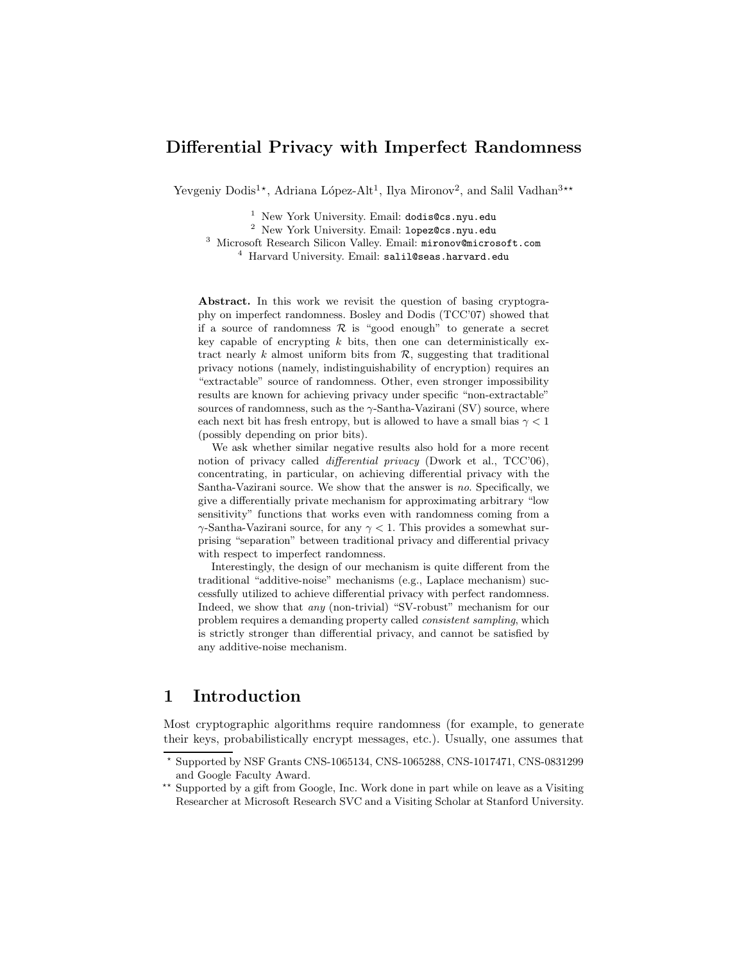### Differential Privacy with Imperfect Randomness

Yevgeniy Dodis<sup>1\*</sup>, Adriana López-Alt<sup>1</sup>, Ilya Mironov<sup>2</sup>, and Salil Vadhan<sup>3\*\*</sup>

 $1$  New York University. Email: dodis@cs.nyu.edu

<sup>2</sup> New York University. Email: lopez@cs.nyu.edu

<sup>3</sup> Microsoft Research Silicon Valley. Email: mironov@microsoft.com <sup>4</sup> Harvard University. Email: salil@seas.harvard.edu

Abstract. In this work we revisit the question of basing cryptography on imperfect randomness. Bosley and Dodis (TCC'07) showed that if a source of randomness  $\mathcal R$  is "good enough" to generate a secret key capable of encrypting  $k$  bits, then one can deterministically extract nearly k almost uniform bits from  $R$ , suggesting that traditional privacy notions (namely, indistinguishability of encryption) requires an "extractable" source of randomness. Other, even stronger impossibility results are known for achieving privacy under specific "non-extractable" sources of randomness, such as the  $\gamma$ -Santha-Vazirani (SV) source, where each next bit has fresh entropy, but is allowed to have a small bias  $\gamma < 1$ (possibly depending on prior bits).

We ask whether similar negative results also hold for a more recent notion of privacy called *differential privacy* (Dwork et al., TCC'06), concentrating, in particular, on achieving differential privacy with the Santha-Vazirani source. We show that the answer is no. Specifically, we give a differentially private mechanism for approximating arbitrary "low sensitivity" functions that works even with randomness coming from a  $\gamma$ -Santha-Vazirani source, for any  $\gamma$  < 1. This provides a somewhat surprising "separation" between traditional privacy and differential privacy with respect to imperfect randomness.

Interestingly, the design of our mechanism is quite different from the traditional "additive-noise" mechanisms (e.g., Laplace mechanism) successfully utilized to achieve differential privacy with perfect randomness. Indeed, we show that any (non-trivial) "SV-robust" mechanism for our problem requires a demanding property called consistent sampling, which is strictly stronger than differential privacy, and cannot be satisfied by any additive-noise mechanism.

# 1 Introduction

Most cryptographic algorithms require randomness (for example, to generate their keys, probabilistically encrypt messages, etc.). Usually, one assumes that

<sup>⋆</sup> Supported by NSF Grants CNS-1065134, CNS-1065288, CNS-1017471, CNS-0831299 and Google Faculty Award.

<sup>\*\*</sup> Supported by a gift from Google, Inc. Work done in part while on leave as a Visiting Researcher at Microsoft Research SVC and a Visiting Scholar at Stanford University.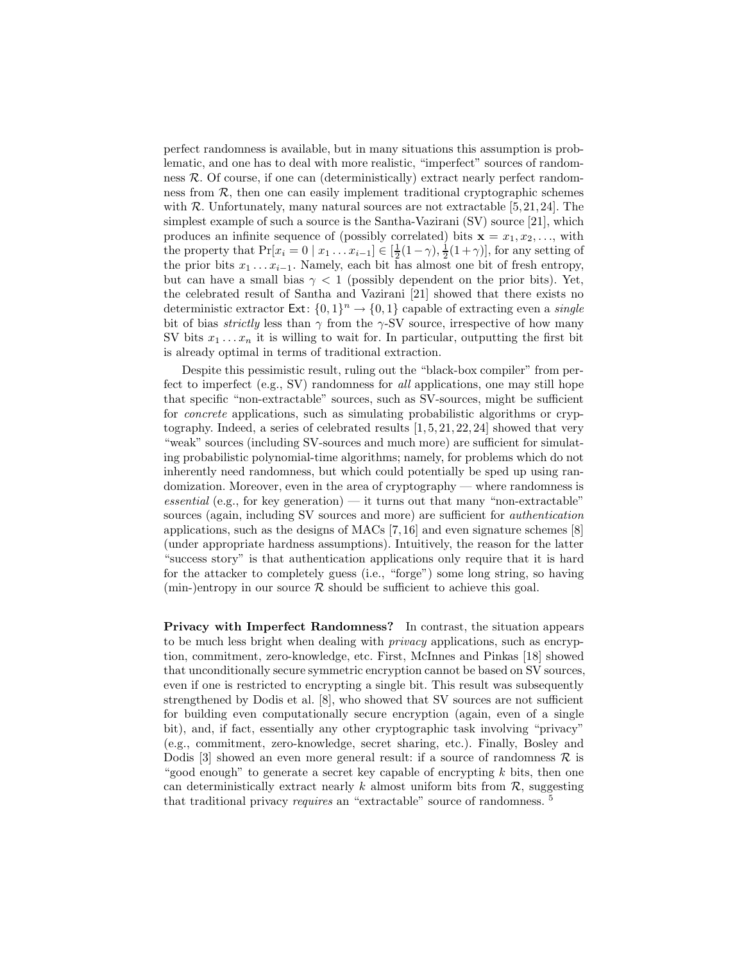perfect randomness is available, but in many situations this assumption is problematic, and one has to deal with more realistic, "imperfect" sources of randomness R. Of course, if one can (deterministically) extract nearly perfect randomness from  $R$ , then one can easily implement traditional cryptographic schemes with  $R$ . Unfortunately, many natural sources are not extractable [5, 21, 24]. The simplest example of such a source is the Santha-Vazirani (SV) source [21], which produces an infinite sequence of (possibly correlated) bits  $\mathbf{x} = x_1, x_2, \dots$ , with the property that  $Pr[x_i = 0 | x_1 ... x_{i-1}] \in [\frac{1}{2}(1-\gamma), \frac{1}{2}(1+\gamma)]$ , for any setting of the prior bits  $x_1 \ldots x_{i-1}$ . Namely, each bit has almost one bit of fresh entropy, but can have a small bias  $\gamma < 1$  (possibly dependent on the prior bits). Yet, the celebrated result of Santha and Vazirani [21] showed that there exists no deterministic extractor  $\textsf{Ext}\colon \{0,1\}^n \to \{0,1\}$  capable of extracting even a *single* bit of bias *strictly* less than  $\gamma$  from the  $\gamma$ -SV source, irrespective of how many SV bits  $x_1 \ldots x_n$  it is willing to wait for. In particular, outputting the first bit is already optimal in terms of traditional extraction.

Despite this pessimistic result, ruling out the "black-box compiler" from perfect to imperfect (e.g., SV) randomness for all applications, one may still hope that specific "non-extractable" sources, such as SV-sources, might be sufficient for concrete applications, such as simulating probabilistic algorithms or cryptography. Indeed, a series of celebrated results [1, 5, 21, 22, 24] showed that very "weak" sources (including SV-sources and much more) are sufficient for simulating probabilistic polynomial-time algorithms; namely, for problems which do not inherently need randomness, but which could potentially be sped up using randomization. Moreover, even in the area of cryptography — where randomness is  $essential$  (e.g., for key generation) — it turns out that many "non-extractable" sources (again, including SV sources and more) are sufficient for authentication applications, such as the designs of MACs [7, 16] and even signature schemes [8] (under appropriate hardness assumptions). Intuitively, the reason for the latter "success story" is that authentication applications only require that it is hard for the attacker to completely guess (i.e., "forge") some long string, so having (min-)entropy in our source  $R$  should be sufficient to achieve this goal.

Privacy with Imperfect Randomness? In contrast, the situation appears to be much less bright when dealing with privacy applications, such as encryption, commitment, zero-knowledge, etc. First, McInnes and Pinkas [18] showed that unconditionally secure symmetric encryption cannot be based on SV sources, even if one is restricted to encrypting a single bit. This result was subsequently strengthened by Dodis et al. [8], who showed that SV sources are not sufficient for building even computationally secure encryption (again, even of a single bit), and, if fact, essentially any other cryptographic task involving "privacy" (e.g., commitment, zero-knowledge, secret sharing, etc.). Finally, Bosley and Dodis [3] showed an even more general result: if a source of randomness  $\mathcal R$  is "good enough" to generate a secret key capable of encrypting  $k$  bits, then one can deterministically extract nearly  $k$  almost uniform bits from  $\mathcal{R}$ , suggesting that traditional privacy requires an "extractable" source of randomness. <sup>5</sup>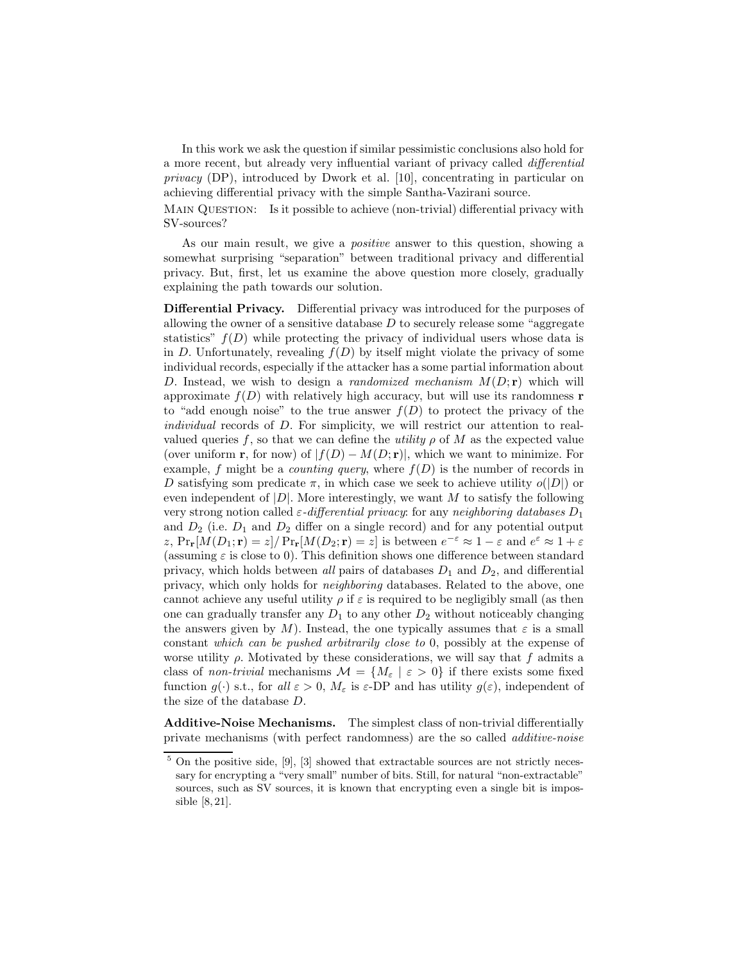In this work we ask the question if similar pessimistic conclusions also hold for a more recent, but already very influential variant of privacy called differential privacy (DP), introduced by Dwork et al. [10], concentrating in particular on achieving differential privacy with the simple Santha-Vazirani source.

Main Question: Is it possible to achieve (non-trivial) differential privacy with SV-sources?

As our main result, we give a positive answer to this question, showing a somewhat surprising "separation" between traditional privacy and differential privacy. But, first, let us examine the above question more closely, gradually explaining the path towards our solution.

Differential Privacy. Differential privacy was introduced for the purposes of allowing the owner of a sensitive database  $D$  to securely release some "aggregate" statistics"  $f(D)$  while protecting the privacy of individual users whose data is in D. Unfortunately, revealing  $f(D)$  by itself might violate the privacy of some individual records, especially if the attacker has a some partial information about D. Instead, we wish to design a *randomized mechanism*  $M(D; r)$  which will approximate  $f(D)$  with relatively high accuracy, but will use its randomness **r** to "add enough noise" to the true answer  $f(D)$  to protect the privacy of the individual records of D. For simplicity, we will restrict our attention to realvalued queries f, so that we can define the utility  $\rho$  of M as the expected value (over uniform **r**, for now) of  $|f(D) - M(D; \mathbf{r})|$ , which we want to minimize. For example, f might be a *counting query*, where  $f(D)$  is the number of records in D satisfying som predicate  $\pi$ , in which case we seek to achieve utility  $o(|D|)$  or even independent of  $|D|$ . More interestingly, we want M to satisfy the following very strong notion called  $\varepsilon$ -differential privacy: for any neighboring databases  $D_1$ and  $D_2$  (i.e.  $D_1$  and  $D_2$  differ on a single record) and for any potential output z,  $Pr_{\mathbf{r}}[M(D_1; \mathbf{r})] = z/N Pr_{\mathbf{r}}[M(D_2; \mathbf{r})] = z$  is between  $e^{-\varepsilon} \approx 1 - \varepsilon$  and  $e^{\varepsilon} \approx 1 + \varepsilon$ (assuming  $\varepsilon$  is close to 0). This definition shows one difference between standard privacy, which holds between all pairs of databases  $D_1$  and  $D_2$ , and differential privacy, which only holds for neighboring databases. Related to the above, one cannot achieve any useful utility  $\rho$  if  $\varepsilon$  is required to be negligibly small (as then one can gradually transfer any  $D_1$  to any other  $D_2$  without noticeably changing the answers given by M). Instead, the one typically assumes that  $\varepsilon$  is a small constant which can be pushed arbitrarily close to 0, possibly at the expense of worse utility  $\rho$ . Motivated by these considerations, we will say that f admits a class of non-trivial mechanisms  $\mathcal{M} = \{M_{\varepsilon} \mid \varepsilon > 0\}$  if there exists some fixed function  $g(\cdot)$  s.t., for all  $\varepsilon > 0$ ,  $M_{\varepsilon}$  is  $\varepsilon$ -DP and has utility  $g(\varepsilon)$ , independent of the size of the database D.

Additive-Noise Mechanisms. The simplest class of non-trivial differentially private mechanisms (with perfect randomness) are the so called additive-noise

 $5$  On the positive side,  $[9]$ ,  $[3]$  showed that extractable sources are not strictly necessary for encrypting a "very small" number of bits. Still, for natural "non-extractable" sources, such as SV sources, it is known that encrypting even a single bit is impossible [8, 21].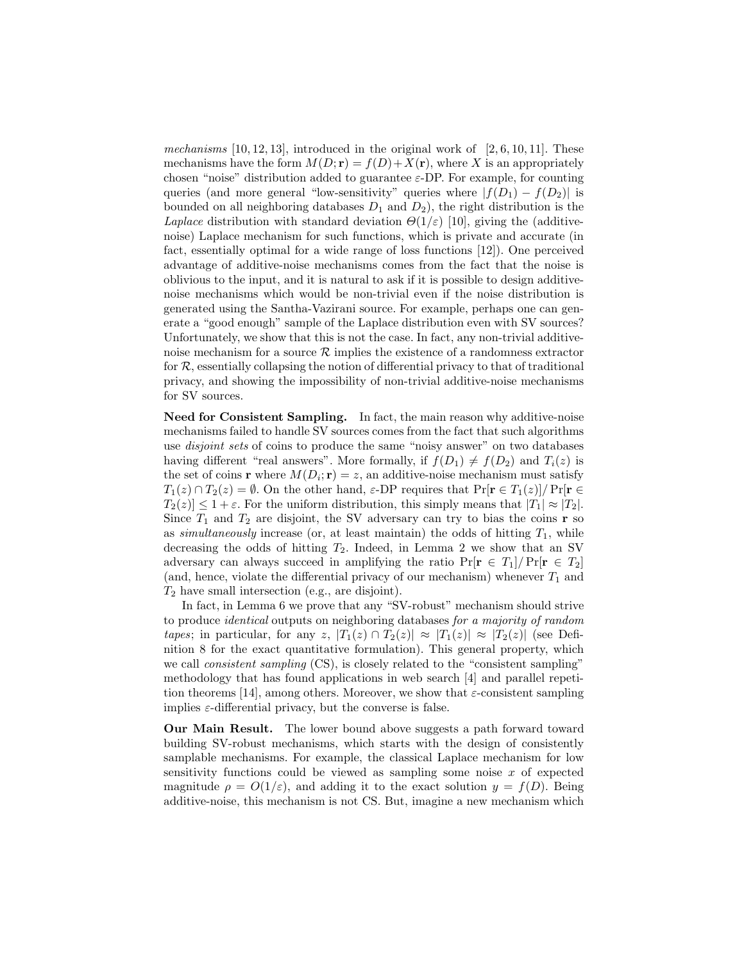mechanisms  $[10, 12, 13]$ , introduced in the original work of  $[2, 6, 10, 11]$ . These mechanisms have the form  $M(D; \mathbf{r}) = f(D) + X(\mathbf{r})$ , where X is an appropriately chosen "noise" distribution added to guarantee  $\varepsilon$ -DP. For example, for counting queries (and more general "low-sensitivity" queries where  $|f(D_1) - f(D_2)|$  is bounded on all neighboring databases  $D_1$  and  $D_2$ ), the right distribution is the Laplace distribution with standard deviation  $\Theta(1/\varepsilon)$  [10], giving the (additivenoise) Laplace mechanism for such functions, which is private and accurate (in fact, essentially optimal for a wide range of loss functions [12]). One perceived advantage of additive-noise mechanisms comes from the fact that the noise is oblivious to the input, and it is natural to ask if it is possible to design additivenoise mechanisms which would be non-trivial even if the noise distribution is generated using the Santha-Vazirani source. For example, perhaps one can generate a "good enough" sample of the Laplace distribution even with SV sources? Unfortunately, we show that this is not the case. In fact, any non-trivial additivenoise mechanism for a source  $R$  implies the existence of a randomness extractor for  $R$ , essentially collapsing the notion of differential privacy to that of traditional privacy, and showing the impossibility of non-trivial additive-noise mechanisms for SV sources.

Need for Consistent Sampling. In fact, the main reason why additive-noise mechanisms failed to handle SV sources comes from the fact that such algorithms use *disjoint sets* of coins to produce the same "noisy answer" on two databases having different "real answers". More formally, if  $f(D_1) \neq f(D_2)$  and  $T_i(z)$  is the set of coins **r** where  $M(D_i; \mathbf{r}) = z$ , an additive-noise mechanism must satisfy  $T_1(z) \cap T_2(z) = \emptyset$ . On the other hand,  $\varepsilon$ -DP requires that  $\Pr[\mathbf{r} \in T_1(z)] / \Pr[\mathbf{r} \in$  $T_2(z) \leq 1 + \varepsilon$ . For the uniform distribution, this simply means that  $|T_1| \approx |T_2|$ . Since  $T_1$  and  $T_2$  are disjoint, the SV adversary can try to bias the coins **r** so as simultaneously increase (or, at least maintain) the odds of hitting  $T_1$ , while decreasing the odds of hitting  $T_2$ . Indeed, in Lemma 2 we show that an SV adversary can always succeed in amplifying the ratio  $Pr[r \in T_1]/Pr[r \in T_2]$ (and, hence, violate the differential privacy of our mechanism) whenever  $T_1$  and  $T_2$  have small intersection (e.g., are disjoint).

In fact, in Lemma 6 we prove that any "SV-robust" mechanism should strive to produce identical outputs on neighboring databases for a majority of random tapes; in particular, for any z,  $|T_1(z) \cap T_2(z)| \approx |T_1(z)| \approx |T_2(z)|$  (see Definition 8 for the exact quantitative formulation). This general property, which we call *consistent sampling* (CS), is closely related to the "consistent sampling" methodology that has found applications in web search [4] and parallel repetition theorems [14], among others. Moreover, we show that  $\varepsilon$ -consistent sampling implies  $\varepsilon$ -differential privacy, but the converse is false.

Our Main Result. The lower bound above suggests a path forward toward building SV-robust mechanisms, which starts with the design of consistently samplable mechanisms. For example, the classical Laplace mechanism for low sensitivity functions could be viewed as sampling some noise  $x$  of expected magnitude  $\rho = O(1/\varepsilon)$ , and adding it to the exact solution  $y = f(D)$ . Being additive-noise, this mechanism is not CS. But, imagine a new mechanism which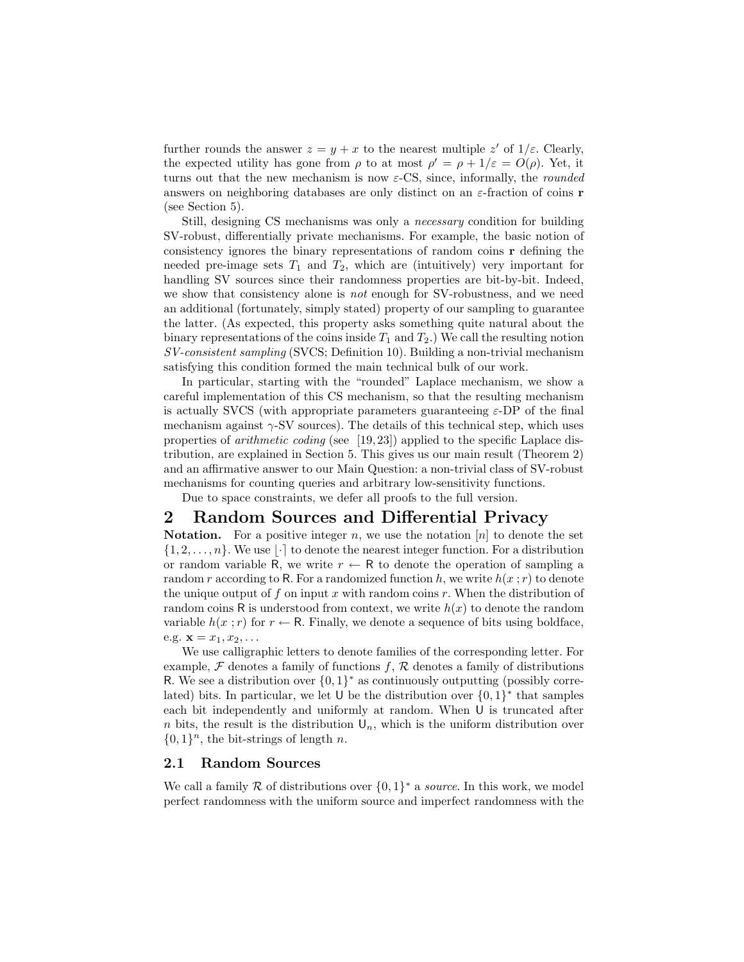further rounds the answer  $z = y + x$  to the nearest multiple z' of  $1/\varepsilon$ . Clearly, the expected utility has gone from  $\rho$  to at most  $\rho' = \rho + 1/\varepsilon = O(\rho)$ . Yet, it turns out that the new mechanism is now  $\varepsilon$ -CS, since, informally, the *rounded* answers on neighboring databases are only distinct on an  $\varepsilon$ -fraction of coins **r** (see Section 5).

Still, designing CS mechanisms was only a necessary condition for building SV-robust, differentially private mechanisms. For example, the basic notion of consistency ignores the binary representations of random coins r defining the needed pre-image sets  $T_1$  and  $T_2$ , which are (intuitively) very important for handling SV sources since their randomness properties are bit-by-bit. Indeed, we show that consistency alone is *not* enough for SV-robustness, and we need an additional (fortunately, simply stated) property of our sampling to guarantee the latter. (As expected, this property asks something quite natural about the binary representations of the coins inside  $T_1$  and  $T_2$ .) We call the resulting notion SV-consistent sampling (SVCS; Definition 10). Building a non-trivial mechanism satisfying this condition formed the main technical bulk of our work.

In particular, starting with the "rounded" Laplace mechanism, we show a careful implementation of this CS mechanism, so that the resulting mechanism is actually SVCS (with appropriate parameters guaranteeing  $\varepsilon$ -DP of the final mechanism against  $\gamma$ -SV sources). The details of this technical step, which uses properties of arithmetic coding (see [19, 23]) applied to the specific Laplace distribution, are explained in Section 5. This gives us our main result (Theorem 2) and an affirmative answer to our Main Question: a non-trivial class of SV-robust mechanisms for counting queries and arbitrary low-sensitivity functions.

Due to space constraints, we defer all proofs to the full version.

### 2 Random Sources and Differential Privacy

**Notation.** For a positive integer n, we use the notation  $[n]$  to denote the set  $\{1, 2, \ldots, n\}$ . We use  $|\cdot|$  to denote the nearest integer function. For a distribution or random variable R, we write  $r \leftarrow R$  to denote the operation of sampling a random r according to R. For a randomized function h, we write  $h(x; r)$  to denote the unique output of f on input x with random coins  $r$ . When the distribution of random coins R is understood from context, we write  $h(x)$  to denote the random variable  $h(x; r)$  for  $r \leftarrow \mathsf{R}$ . Finally, we denote a sequence of bits using boldface, e.g.  $\mathbf{x} = x_1, x_2, \ldots$ 

We use calligraphic letters to denote families of the corresponding letter. For example,  $\mathcal F$  denotes a family of functions f,  $\mathcal R$  denotes a family of distributions R. We see a distribution over  $\{0,1\}^*$  as continuously outputting (possibly correlated) bits. In particular, we let U be the distribution over  $\{0,1\}^*$  that samples each bit independently and uniformly at random. When U is truncated after n bits, the result is the distribution  $\mathsf{U}_n$ , which is the uniform distribution over  $\{0, 1\}^n$ , the bit-strings of length n.

#### 2.1 Random Sources

We call a family  $R$  of distributions over  $\{0,1\}^*$  a *source*. In this work, we model perfect randomness with the uniform source and imperfect randomness with the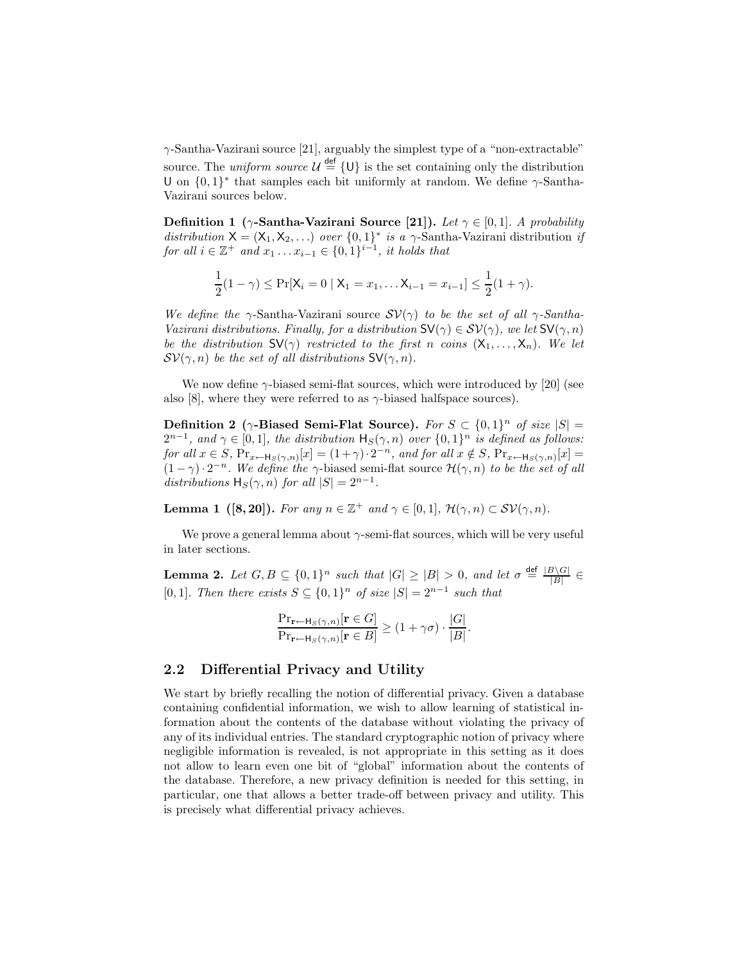γ-Santha-Vazirani source [21], arguably the simplest type of a "non-extractable" source. The *uniform source*  $\mathcal{U} \stackrel{\text{def}}{=} \{U\}$  is the set containing only the distribution U on  $\{0,1\}^*$  that samples each bit uniformly at random. We define  $\gamma$ -Santha-Vazirani sources below.

Definition 1 ( $\gamma$ -Santha-Vazirani Source [21]). Let  $\gamma \in [0,1]$ . A probability distribution  $X = (X_1, X_2, ...)$  over  $\{0, 1\}^*$  is a  $\gamma$ -Santha-Vazirani distribution if for all  $i \in \mathbb{Z}^+$  and  $x_1 \ldots x_{i-1} \in \{0,1\}^{i-1}$ , it holds that

$$
\frac{1}{2}(1-\gamma) \le \Pr[X_i = 0 \mid X_1 = x_1, \dots X_{i-1} = x_{i-1}] \le \frac{1}{2}(1+\gamma).
$$

We define the  $\gamma$ -Santha-Vazirani source  $SV(\gamma)$  to be the set of all  $\gamma$ -Santha-Vazirani distributions. Finally, for a distribution  $\mathsf{SV}(\gamma) \in \mathcal{SV}(\gamma)$ , we let  $\mathsf{SV}(\gamma, n)$ be the distribution  $SV(\gamma)$  restricted to the first n coins  $(X_1, \ldots, X_n)$ . We let  $\mathcal{SV}(\gamma,n)$  be the set of all distributions  $\mathsf{SV}(\gamma,n)$ .

We now define  $\gamma$ -biased semi-flat sources, which were introduced by [20] (see also [8], where they were referred to as  $\gamma$ -biased halfspace sources).

**Definition 2** ( $\gamma$ -Biased Semi-Flat Source). For  $S \subset \{0,1\}^n$  of size  $|S|$  =  $2^{n-1}$ , and  $\gamma \in [0,1]$ , the distribution  $H_S(\gamma, n)$  over  $\{0,1\}^n$  is defined as follows: for all  $x \in S$ ,  $Pr_{x \leftarrow H_S(\gamma,n)}[x] = (1+\gamma) \cdot 2^{-n}$ , and for all  $x \notin S$ ,  $Pr_{x \leftarrow H_S(\gamma,n)}[x] =$  $(1 - \gamma) \cdot 2^{-n}$ . We define the  $\gamma$ -biased semi-flat source  $\mathcal{H}(\gamma, n)$  to be the set of all distributions  $H_S(\gamma, n)$  for all  $|S| = 2^{n-1}$ .

**Lemma 1** ([8, 20]). For any  $n \in \mathbb{Z}^+$  and  $\gamma \in [0,1]$ ,  $\mathcal{H}(\gamma,n) \subset \mathcal{SV}(\gamma,n)$ .

We prove a general lemma about  $\gamma$ -semi-flat sources, which will be very useful in later sections.

**Lemma 2.** Let  $G, B \subseteq \{0,1\}^n$  such that  $|G| \geq |B| > 0$ , and let  $\sigma \stackrel{\text{def}}{=} \frac{|B \setminus G|}{|B|}$  $\frac{1}{|B|}$ [0, 1]. Then there exists  $S \subseteq \{0,1\}^n$  of size  $|S| = 2^{n-1}$  such that

$$
\frac{\Pr_{\mathbf{r}\leftarrow\mathsf{H}_S(\gamma,n)}[\mathbf{r}\in G]}{\Pr_{\mathbf{r}\leftarrow\mathsf{H}_S(\gamma,n)}[\mathbf{r}\in B]} \ge (1+\gamma\sigma) \cdot \frac{|G|}{|B|}.
$$

#### 2.2 Differential Privacy and Utility

We start by briefly recalling the notion of differential privacy. Given a database containing confidential information, we wish to allow learning of statistical information about the contents of the database without violating the privacy of any of its individual entries. The standard cryptographic notion of privacy where negligible information is revealed, is not appropriate in this setting as it does not allow to learn even one bit of "global" information about the contents of the database. Therefore, a new privacy definition is needed for this setting, in particular, one that allows a better trade-off between privacy and utility. This is precisely what differential privacy achieves.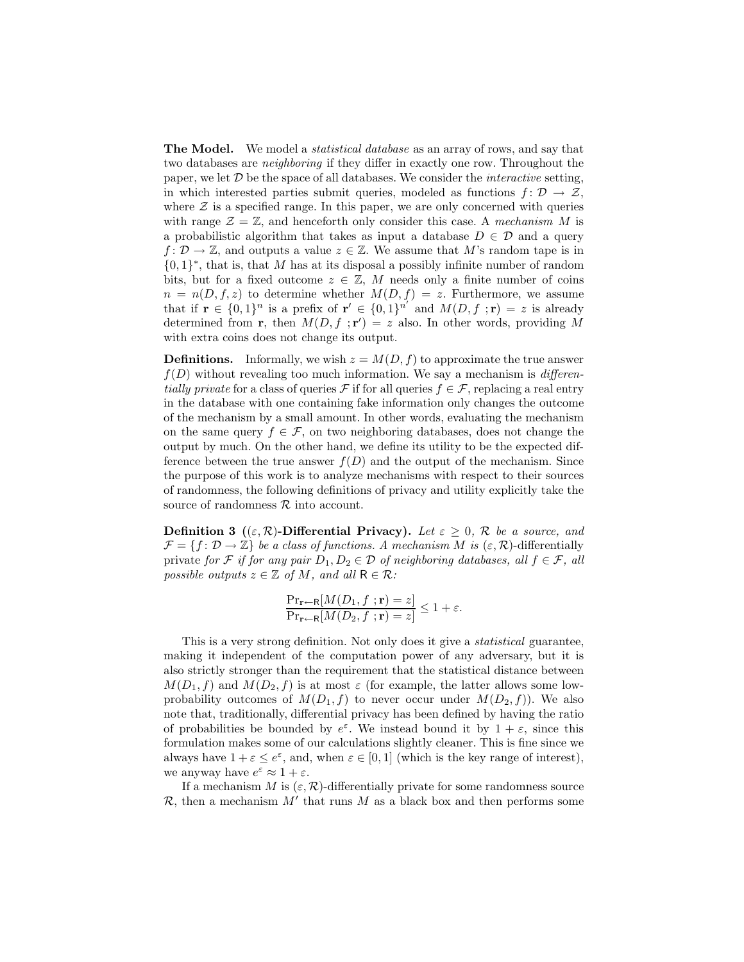**The Model.** We model a *statistical database* as an array of rows, and say that two databases are neighboring if they differ in exactly one row. Throughout the paper, we let  $\mathcal D$  be the space of all databases. We consider the *interactive* setting, in which interested parties submit queries, modeled as functions  $f: \mathcal{D} \to \mathcal{Z}$ , where  $\mathcal Z$  is a specified range. In this paper, we are only concerned with queries with range  $\mathcal{Z} = \mathbb{Z}$ , and henceforth only consider this case. A mechanism M is a probabilistic algorithm that takes as input a database  $D \in \mathcal{D}$  and a query  $f: \mathcal{D} \to \mathbb{Z}$ , and outputs a value  $z \in \mathbb{Z}$ . We assume that M's random tape is in  ${0, 1}^*$ , that is, that M has at its disposal a possibly infinite number of random bits, but for a fixed outcome  $z \in \mathbb{Z}$ , M needs only a finite number of coins  $n = n(D, f, z)$  to determine whether  $M(D, f) = z$ . Furthermore, we assume that if  $\mathbf{r} \in \{0,1\}^n$  is a prefix of  $\mathbf{r}' \in \{0,1\}^{n'}$  and  $M(D, f; \mathbf{r}) = z$  is already determined from **r**, then  $M(D, f; \mathbf{r}') = z$  also. In other words, providing M with extra coins does not change its output.

**Definitions.** Informally, we wish  $z = M(D, f)$  to approximate the true answer  $f(D)$  without revealing too much information. We say a mechanism is *differen*tially private for a class of queries  $\mathcal F$  if for all queries  $f \in \mathcal F$ , replacing a real entry in the database with one containing fake information only changes the outcome of the mechanism by a small amount. In other words, evaluating the mechanism on the same query  $f \in \mathcal{F}$ , on two neighboring databases, does not change the output by much. On the other hand, we define its utility to be the expected difference between the true answer  $f(D)$  and the output of the mechanism. Since the purpose of this work is to analyze mechanisms with respect to their sources of randomness, the following definitions of privacy and utility explicitly take the source of randomness  $R$  into account.

Definition 3 (( $\varepsilon$ ,  $\mathcal{R}$ )-Differential Privacy). Let  $\varepsilon \geq 0$ ,  $\mathcal{R}$  be a source, and  $\mathcal{F} = \{f : \mathcal{D} \to \mathbb{Z}\}\$ be a class of functions. A mechanism M is  $(\varepsilon, \mathcal{R})$ -differentially private for F if for any pair  $D_1, D_2 \in \mathcal{D}$  of neighboring databases, all  $f \in \mathcal{F}$ , all possible outputs  $z \in \mathbb{Z}$  of M, and all  $R \in \mathcal{R}$ :

$$
\frac{\Pr_{\mathbf{r}\leftarrow\mathsf{R}}[M(D_1, f; \mathbf{r}) = z]}{\Pr_{\mathbf{r}\leftarrow\mathsf{R}}[M(D_2, f; \mathbf{r}) = z]} \le 1 + \varepsilon.
$$

This is a very strong definition. Not only does it give a statistical guarantee, making it independent of the computation power of any adversary, but it is also strictly stronger than the requirement that the statistical distance between  $M(D_1, f)$  and  $M(D_2, f)$  is at most  $\varepsilon$  (for example, the latter allows some lowprobability outcomes of  $M(D_1, f)$  to never occur under  $M(D_2, f)$ ). We also note that, traditionally, differential privacy has been defined by having the ratio of probabilities be bounded by  $e^{\varepsilon}$ . We instead bound it by  $1 + \varepsilon$ , since this formulation makes some of our calculations slightly cleaner. This is fine since we always have  $1 + \varepsilon \leq e^{\varepsilon}$ , and, when  $\varepsilon \in [0, 1]$  (which is the key range of interest), we anyway have  $e^{\varepsilon} \approx 1 + \varepsilon$ .

If a mechanism M is  $(\varepsilon, \mathcal{R})$ -differentially private for some randomness source  $\mathcal{R}$ , then a mechanism  $M'$  that runs  $M$  as a black box and then performs some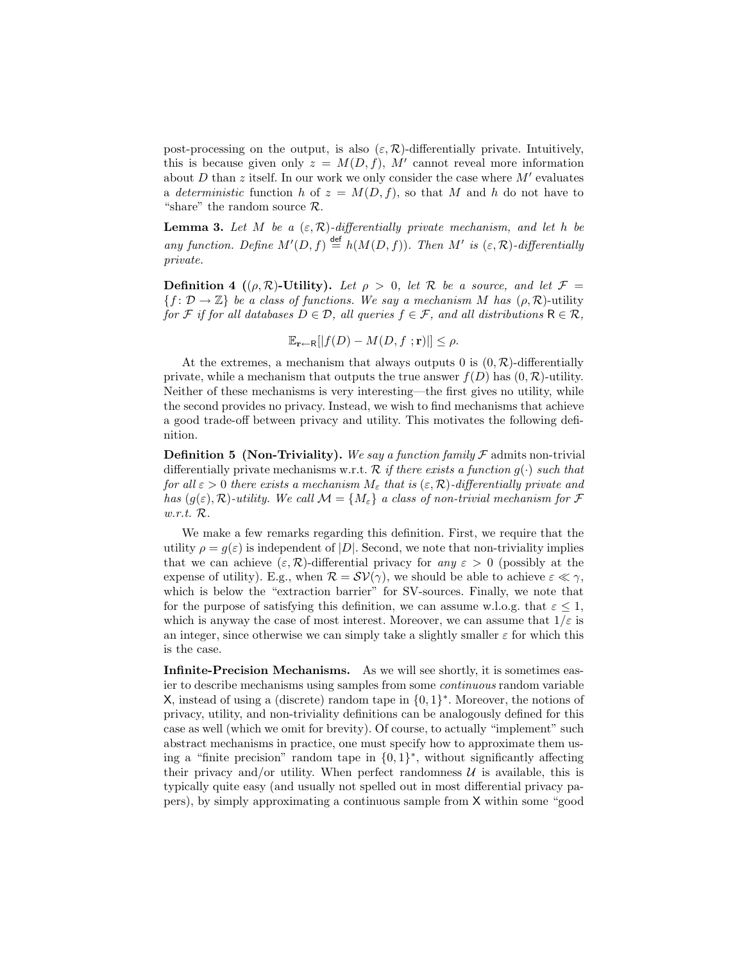post-processing on the output, is also  $(\varepsilon, \mathcal{R})$ -differentially private. Intuitively, this is because given only  $z = M(D, f)$ , M' cannot reveal more information about D than z itself. In our work we only consider the case where  $M'$  evaluates a deterministic function h of  $z = M(D, f)$ , so that M and h do not have to "share" the random source  $\mathcal{R}$ .

**Lemma 3.** Let M be a  $(\varepsilon, \mathcal{R})$ -differentially private mechanism, and let h be any function. Define  $M'(D, f) \stackrel{\text{def}}{=} h(M(D, f))$ . Then M' is  $(\varepsilon, \mathcal{R})$ -differentially private.

**Definition 4** (( $\rho$ ,  $\mathcal{R}$ )-Utility). Let  $\rho > 0$ , let  $\mathcal{R}$  be a source, and let  $\mathcal{F} =$  ${f : \mathcal{D} \to \mathbb{Z}}$  be a class of functions. We say a mechanism M has  $(\rho, \mathcal{R})$ -utility for F if for all databases  $D \in \mathcal{D}$ , all queries  $f \in \mathcal{F}$ , and all distributions  $R \in \mathcal{R}$ ,

$$
\mathbb{E}_{\mathbf{r}\leftarrow\mathsf{R}}[|f(D)-M(D,f\ ;\mathbf{r})|]\leq\rho.
$$

At the extremes, a mechanism that always outputs 0 is  $(0, \mathcal{R})$ -differentially private, while a mechanism that outputs the true answer  $f(D)$  has  $(0, \mathcal{R})$ -utility. Neither of these mechanisms is very interesting—the first gives no utility, while the second provides no privacy. Instead, we wish to find mechanisms that achieve a good trade-off between privacy and utility. This motivates the following definition.

**Definition 5 (Non-Triviality).** We say a function family  $\mathcal F$  admits non-trivial differentially private mechanisms w.r.t.  $\mathcal R$  if there exists a function  $q(\cdot)$  such that for all  $\varepsilon > 0$  there exists a mechanism  $M_{\varepsilon}$  that is  $(\varepsilon, \mathcal{R})$ -differentially private and has  $(g(\varepsilon), \mathcal{R})$ -utility. We call  $\mathcal{M} = \{M_{\varepsilon}\}\$ a class of non-trivial mechanism for  $\mathcal F$ w.r.t. R.

We make a few remarks regarding this definition. First, we require that the utility  $\rho = q(\varepsilon)$  is independent of  $|D|$ . Second, we note that non-triviality implies that we can achieve  $(\varepsilon, \mathcal{R})$ -differential privacy for any  $\varepsilon > 0$  (possibly at the expense of utility). E.g., when  $\mathcal{R} = \mathcal{SV}(\gamma)$ , we should be able to achieve  $\varepsilon \ll \gamma$ , which is below the "extraction barrier" for SV-sources. Finally, we note that for the purpose of satisfying this definition, we can assume w.l.o.g. that  $\varepsilon \leq 1$ , which is anyway the case of most interest. Moreover, we can assume that  $1/\varepsilon$  is an integer, since otherwise we can simply take a slightly smaller  $\varepsilon$  for which this is the case.

Infinite-Precision Mechanisms. As we will see shortly, it is sometimes easier to describe mechanisms using samples from some continuous random variable X, instead of using a (discrete) random tape in  $\{0,1\}^*$ . Moreover, the notions of privacy, utility, and non-triviality definitions can be analogously defined for this case as well (which we omit for brevity). Of course, to actually "implement" such abstract mechanisms in practice, one must specify how to approximate them using a "finite precision" random tape in {0, 1} ∗ , without significantly affecting their privacy and/or utility. When perfect randomness  $\mathcal U$  is available, this is typically quite easy (and usually not spelled out in most differential privacy papers), by simply approximating a continuous sample from X within some "good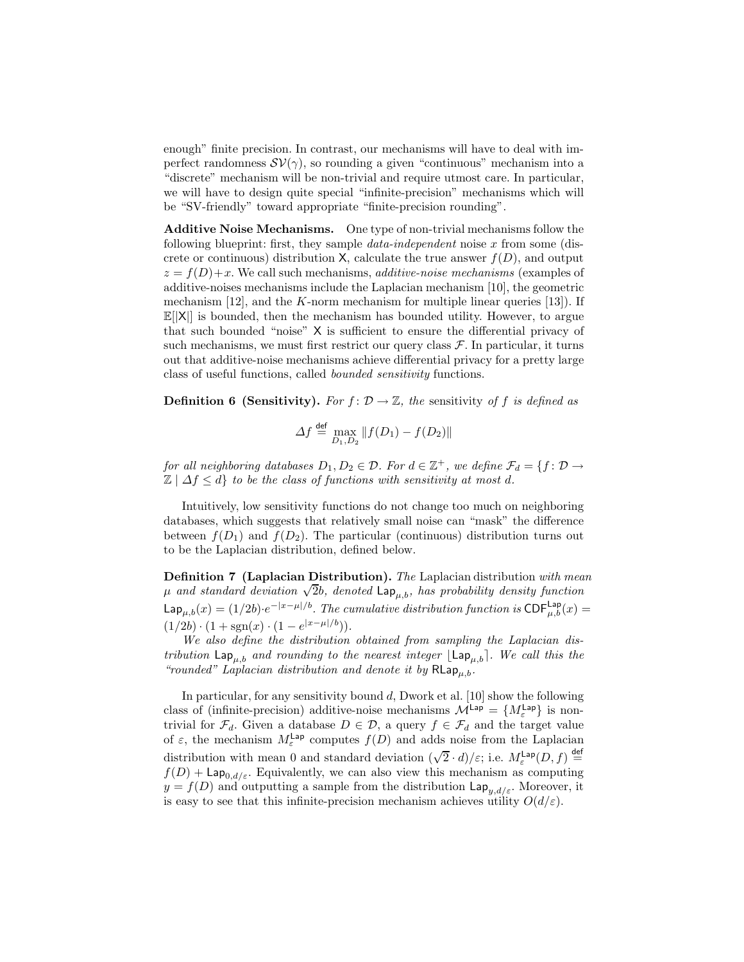enough" finite precision. In contrast, our mechanisms will have to deal with imperfect randomness  $\mathcal{SV}(\gamma)$ , so rounding a given "continuous" mechanism into a "discrete" mechanism will be non-trivial and require utmost care. In particular, we will have to design quite special "infinite-precision" mechanisms which will be "SV-friendly" toward appropriate "finite-precision rounding".

Additive Noise Mechanisms. One type of non-trivial mechanisms follow the following blueprint: first, they sample *data-independent* noise x from some (discrete or continuous) distribution X, calculate the true answer  $f(D)$ , and output  $z = f(D) + x$ . We call such mechanisms, *additive-noise mechanisms* (examples of additive-noises mechanisms include the Laplacian mechanism [10], the geometric mechanism  $[12]$ , and the K-norm mechanism for multiple linear queries  $[13]$ . If  $\mathbb{E}[|X|]$  is bounded, then the mechanism has bounded utility. However, to argue that such bounded "noise" X is sufficient to ensure the differential privacy of such mechanisms, we must first restrict our query class  $\mathcal{F}$ . In particular, it turns out that additive-noise mechanisms achieve differential privacy for a pretty large class of useful functions, called bounded sensitivity functions.

**Definition 6 (Sensitivity).** For  $f: \mathcal{D} \to \mathbb{Z}$ , the sensitivity of f is defined as

$$
\Delta f \stackrel{\text{def}}{=} \max_{D_1, D_2} \|f(D_1) - f(D_2)\|
$$

for all neighboring databases  $D_1, D_2 \in \mathcal{D}$ . For  $d \in \mathbb{Z}^+$ , we define  $\mathcal{F}_d = \{f \colon \mathcal{D} \to \mathcal{D}\}$  $\mathbb{Z} \mid \Delta f \leq d$  to be the class of functions with sensitivity at most d.

Intuitively, low sensitivity functions do not change too much on neighboring databases, which suggests that relatively small noise can "mask" the difference between  $f(D_1)$  and  $f(D_2)$ . The particular (continuous) distribution turns out to be the Laplacian distribution, defined below.

**Definition 7 (Laplacian Distribution).** The Laplacian distribution with mean  $\mu$  and standard deviation  $\sqrt{2}b$ , denoted  $\text{Lap}_{\mu,b}$ , has probability density function  $\mathsf{Lap}_{\mu,b}(x) = (1/2b) \cdot e^{-|x-\mu|/b}$ . The cumulative distribution function is  $\mathsf{CDF}^{\mathsf{Lap}}_{\mu,b}(x) =$  $(1/2b) \cdot (1 + \text{sgn}(x) \cdot (1 - e^{|x - \mu|/b})).$ 

We also define the distribution obtained from sampling the Laplacian distribution  $\text{Lap}_{\mu,b}$  and rounding to the nearest integer  $\text{Lap}_{\mu,b}$ . We call this the "rounded" Laplacian distribution and denote it by  $\mathsf{RLap}_{u,b}$ .

In particular, for any sensitivity bound  $d$ , Dwork et al. [10] show the following class of (infinite-precision) additive-noise mechanisms  $\mathcal{M}^{\text{Lap}} = \{M_{\varepsilon}^{\text{Lap}}\}$  is nontrivial for  $\mathcal{F}_d$ . Given a database  $D \in \mathcal{D}$ , a query  $f \in \mathcal{F}_d$  and the target value of  $\varepsilon$ , the mechanism  $M_{\varepsilon}^{\text{Lap}}$  computes  $f(D)$  and adds noise from the Laplacian distribution with mean 0 and standard deviation  $(\sqrt{2} \cdot d)/\varepsilon$ ; i.e.  $M_{\varepsilon}^{\text{Lap}}(D, f) \stackrel{\text{def}}{=}$  $f(D) + \mathsf{Lap}_{0,d/\varepsilon}$ . Equivalently, we can also view this mechanism as computing  $y = f(D)$  and outputting a sample from the distribution  $\text{Lap}_{u,d/\varepsilon}$ . Moreover, it is easy to see that this infinite-precision mechanism achieves utility  $O(d/\varepsilon)$ .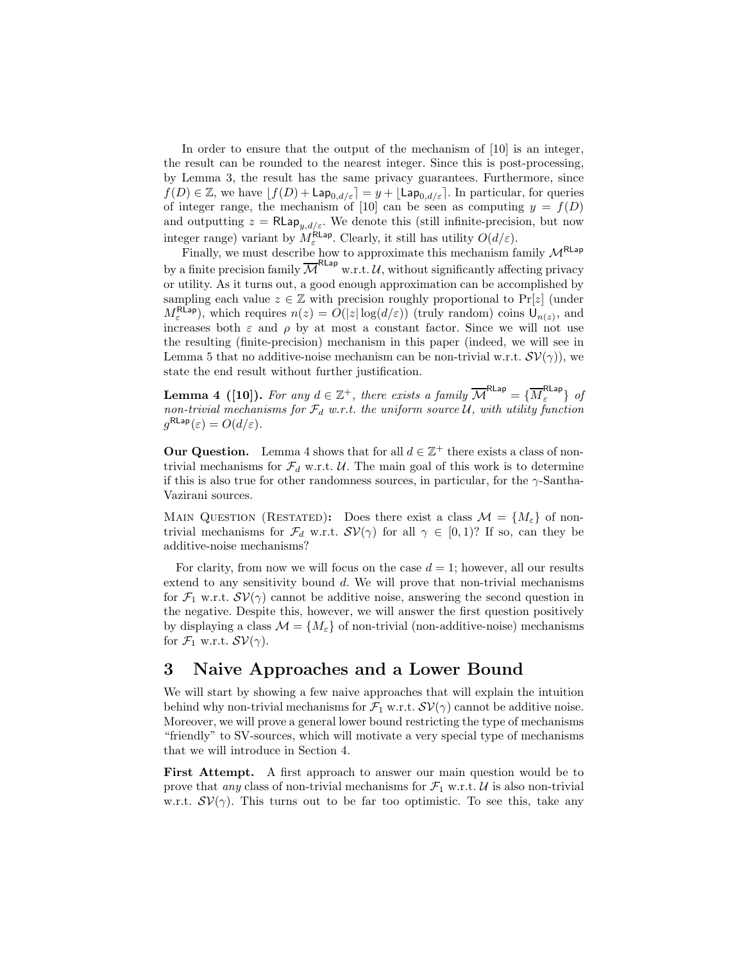In order to ensure that the output of the mechanism of [10] is an integer, the result can be rounded to the nearest integer. Since this is post-processing, by Lemma 3, the result has the same privacy guarantees. Furthermore, since  $f(D) \in \mathbb{Z}$ , we have  $[f(D) + \text{Lap}_{0,d/\varepsilon}] = y + \lfloor \text{Lap}_{0,d/\varepsilon} \rfloor$ . In particular, for queries of integer range, the mechanism of [10] can be seen as computing  $y = f(D)$ and outputting  $z = R \mathsf{Lap}_{y,d/\varepsilon}$ . We denote this (still infinite-precision, but now integer range) variant by  $M_{\varepsilon}^{\text{RLap}}$ . Clearly, it still has utility  $O(d/\varepsilon)$ .

Finally, we must describe how to approximate this mechanism family  $\mathcal{M}^{\mathsf{RLap}}$ by a finite precision family  $\overline{\mathcal{M}}^{\mathsf{RLap}}$  w.r.t. U, without significantly affecting privacy or utility. As it turns out, a good enough approximation can be accomplished by sampling each value  $z \in \mathbb{Z}$  with precision roughly proportional to Pr[z] (under  $M_{\varepsilon}^{\text{RLap}}$ , which requires  $n(z) = O(|z|\log(d/\varepsilon))$  (truly random) coins  $U_{n(z)}$ , and increases both  $\varepsilon$  and  $\rho$  by at most a constant factor. Since we will not use the resulting (finite-precision) mechanism in this paper (indeed, we will see in Lemma 5 that no additive-noise mechanism can be non-trivial w.r.t.  $\mathcal{SV}(\gamma)$ , we state the end result without further justification.

**Lemma 4** ([10]). For any  $d \in \mathbb{Z}^+$ , there exists a family  $\overline{\mathcal{M}}^{\text{RLap}} = {\overline{\{M_{\varepsilon}^{\text{RLap}}\}}}$  of non-trivial mechanisms for  $\mathcal{F}_d$  w.r.t. the uniform source U, with utility function  $g^{\mathsf{RLap}}(\varepsilon) = O(d/\varepsilon).$ 

**Our Question.** Lemma 4 shows that for all  $d \in \mathbb{Z}^+$  there exists a class of nontrivial mechanisms for  $\mathcal{F}_d$  w.r.t. U. The main goal of this work is to determine if this is also true for other randomness sources, in particular, for the  $\gamma$ -Santha-Vazirani sources.

MAIN QUESTION (RESTATED): Does there exist a class  $\mathcal{M} = \{M_{\varepsilon}\}\$  of nontrivial mechanisms for  $\mathcal{F}_d$  w.r.t.  $\mathcal{SV}(\gamma)$  for all  $\gamma \in [0,1)$ ? If so, can they be additive-noise mechanisms?

For clarity, from now we will focus on the case  $d = 1$ ; however, all our results extend to any sensitivity bound d. We will prove that non-trivial mechanisms for  $\mathcal{F}_1$  w.r.t.  $\mathcal{SV}(\gamma)$  cannot be additive noise, answering the second question in the negative. Despite this, however, we will answer the first question positively by displaying a class  $\mathcal{M} = \{M_{\varepsilon}\}\$  of non-trivial (non-additive-noise) mechanisms for  $\mathcal{F}_1$  w.r.t.  $\mathcal{SV}(\gamma)$ .

### 3 Naive Approaches and a Lower Bound

We will start by showing a few naive approaches that will explain the intuition behind why non-trivial mechanisms for  $\mathcal{F}_1$  w.r.t.  $\mathcal{SV}(\gamma)$  cannot be additive noise. Moreover, we will prove a general lower bound restricting the type of mechanisms "friendly" to SV-sources, which will motivate a very special type of mechanisms that we will introduce in Section 4.

First Attempt. A first approach to answer our main question would be to prove that any class of non-trivial mechanisms for  $\mathcal{F}_1$  w.r.t. U is also non-trivial w.r.t.  $\mathcal{SV}(\gamma)$ . This turns out to be far too optimistic. To see this, take any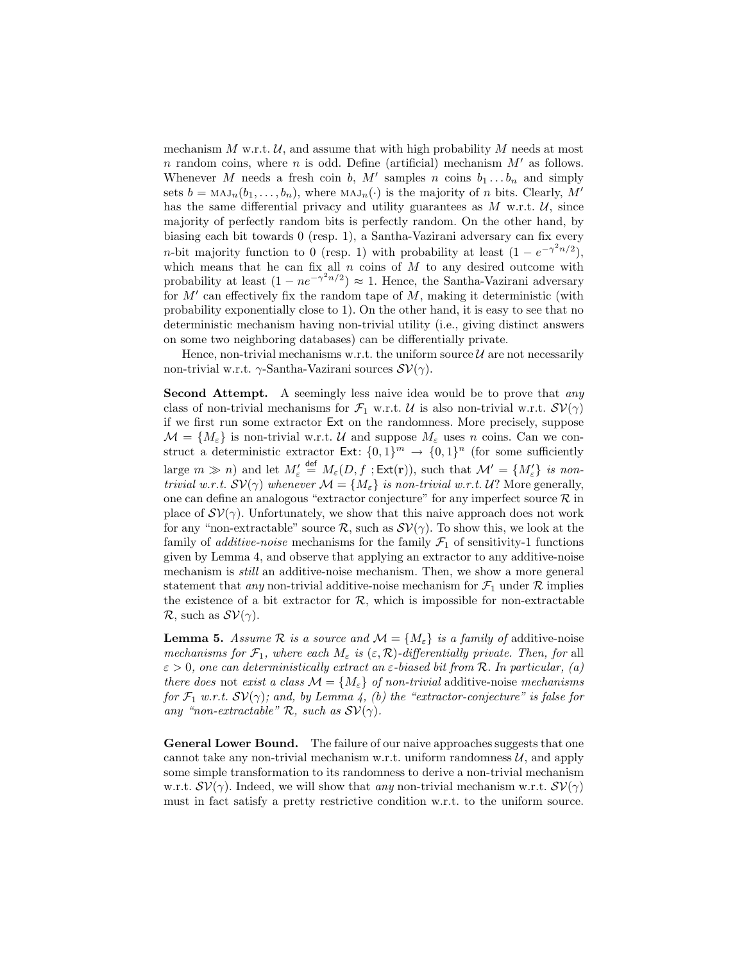mechanism  $M$  w.r.t.  $U$ , and assume that with high probability  $M$  needs at most n random coins, where n is odd. Define (artificial) mechanism  $M'$  as follows. Whenever M needs a fresh coin b, M' samples n coins  $b_1 \ldots b_n$  and simply sets  $b = MAJ_n(b_1, \ldots, b_n)$ , where  $MAJ_n(\cdot)$  is the majority of n bits. Clearly, M' has the same differential privacy and utility guarantees as  $M$  w.r.t.  $U$ , since majority of perfectly random bits is perfectly random. On the other hand, by biasing each bit towards 0 (resp. 1), a Santha-Vazirani adversary can fix every *n*-bit majority function to 0 (resp. 1) with probability at least  $(1 - e^{-\gamma^2 n/2})$ , which means that he can fix all  $n$  coins of  $M$  to any desired outcome with probability at least  $(1 - ne^{-\gamma^2 n/2}) \approx 1$ . Hence, the Santha-Vazirani adversary for  $M'$  can effectively fix the random tape of  $M$ , making it deterministic (with probability exponentially close to 1). On the other hand, it is easy to see that no deterministic mechanism having non-trivial utility (i.e., giving distinct answers on some two neighboring databases) can be differentially private.

Hence, non-trivial mechanisms w.r.t. the uniform source  $\mathcal U$  are not necessarily non-trivial w.r.t.  $\gamma$ -Santha-Vazirani sources  $\mathcal{SV}(\gamma)$ .

Second Attempt. A seemingly less naive idea would be to prove that any class of non-trivial mechanisms for  $\mathcal{F}_1$  w.r.t. U is also non-trivial w.r.t.  $\mathcal{SV}(\gamma)$ if we first run some extractor Ext on the randomness. More precisely, suppose  $\mathcal{M} = \{M_{\varepsilon}\}\$ is non-trivial w.r.t. U and suppose  $M_{\varepsilon}$  uses n coins. Can we construct a deterministic extractor  $\text{Ext} \colon \{0,1\}^m \to \{0,1\}^n$  (for some sufficiently large  $m \gg n$ ) and let  $M'_{\varepsilon} \stackrel{\text{def}}{=} M_{\varepsilon}(D, f ; \text{Ext}(\mathbf{r}))$ , such that  $\mathcal{M}' = \{M'_{\varepsilon}\}\$ is nontrivial w.r.t.  $SV(\gamma)$  whenever  $\mathcal{M} = \{M_{\varepsilon}\}\$ is non-trivial w.r.t.  $\mathcal{U}$ ? More generally, one can define an analogous "extractor conjecture" for any imperfect source  $\mathcal R$  in place of  $\mathcal{SV}(\gamma)$ . Unfortunately, we show that this naive approach does not work for any "non-extractable" source  $\mathcal{R}$ , such as  $\mathcal{SV}(\gamma)$ . To show this, we look at the family of *additive-noise* mechanisms for the family  $\mathcal{F}_1$  of sensitivity-1 functions given by Lemma 4, and observe that applying an extractor to any additive-noise mechanism is *still* an additive-noise mechanism. Then, we show a more general statement that *any* non-trivial additive-noise mechanism for  $\mathcal{F}_1$  under  $\mathcal{R}$  implies the existence of a bit extractor for  $R$ , which is impossible for non-extractable  $\mathcal{R}$ , such as  $\mathcal{SV}(\gamma)$ .

**Lemma 5.** Assume R is a source and  $\mathcal{M} = \{M_{\varepsilon}\}\$ is a family of additive-noise mechanisms for  $\mathcal{F}_1$ , where each  $M_\varepsilon$  is  $(\varepsilon, \mathcal{R})$ -differentially private. Then, for all  $\varepsilon > 0$ , one can deterministically extract an  $\varepsilon$ -biased bit from R. In particular, (a) there does not exist a class  $\mathcal{M} = \{M_{\varepsilon}\}\$  of non-trivial additive-noise mechanisms for  $\mathcal{F}_1$  w.r.t.  $SV(\gamma)$ ; and, by Lemma 4, (b) the "extractor-conjecture" is false for any "non-extractable"  $\mathcal{R}$ , such as  $\mathcal{SV}(\gamma)$ .

General Lower Bound. The failure of our naive approaches suggests that one cannot take any non-trivial mechanism w.r.t. uniform randomness  $\mathcal{U}$ , and apply some simple transformation to its randomness to derive a non-trivial mechanism w.r.t.  $SV(\gamma)$ . Indeed, we will show that any non-trivial mechanism w.r.t.  $SV(\gamma)$ must in fact satisfy a pretty restrictive condition w.r.t. to the uniform source.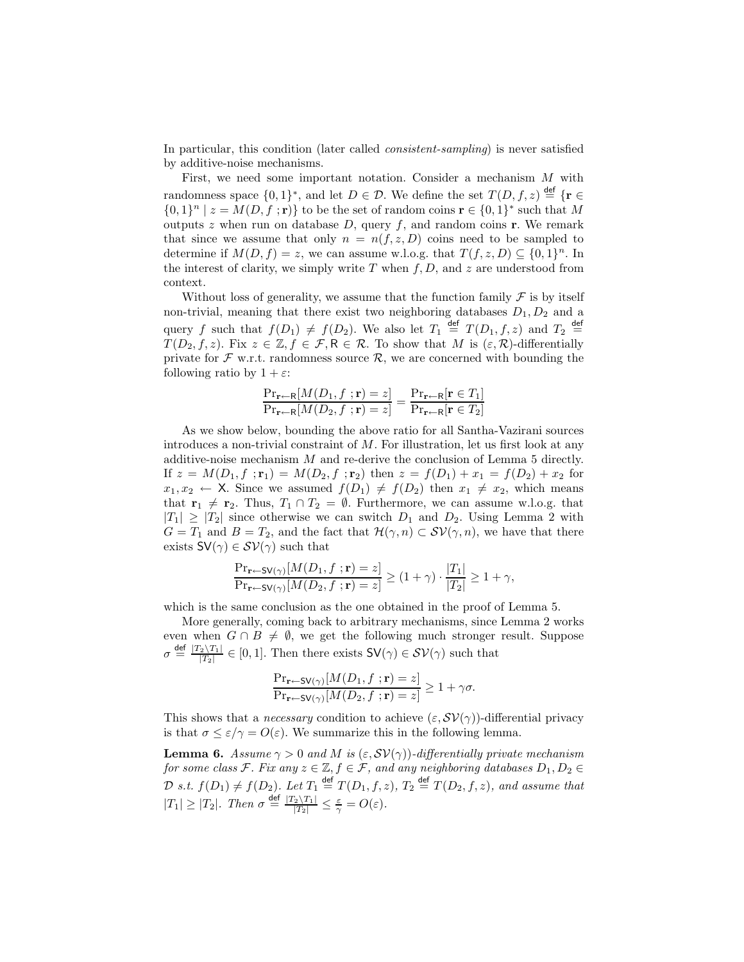In particular, this condition (later called consistent-sampling) is never satisfied by additive-noise mechanisms.

First, we need some important notation. Consider a mechanism M with randomness space  $\{0,1\}^*$ , and let  $D \in \mathcal{D}$ . We define the set  $T(D, f, z) \stackrel{\text{def}}{=} \{r \in$  $\{0,1\}^n \mid z = M(D, f; \mathbf{r})\}$  to be the set of random coins  $\mathbf{r} \in \{0,1\}^*$  such that M outputs z when run on database  $D$ , query  $f$ , and random coins **r**. We remark that since we assume that only  $n = n(f, z, D)$  coins need to be sampled to determine if  $M(D, f) = z$ , we can assume w.l.o.g. that  $T(f, z, D) \subseteq \{0, 1\}^n$ . In the interest of clarity, we simply write  $T$  when  $f, D$ , and  $z$  are understood from context.

Without loss of generality, we assume that the function family  $\mathcal F$  is by itself non-trivial, meaning that there exist two neighboring databases  $D_1, D_2$  and a query f such that  $f(D_1) \neq f(D_2)$ . We also let  $T_1 \stackrel{\text{def}}{=} T(D_1, f, z)$  and  $T_2 \stackrel{\text{def}}{=}$  $T(D_2, f, z)$ . Fix  $z \in \mathbb{Z}, f \in \mathcal{F}, \mathsf{R} \in \mathcal{R}$ . To show that M is  $(\varepsilon, \mathcal{R})$ -differentially private for  $\mathcal F$  w.r.t. randomness source  $\mathcal R$ , we are concerned with bounding the following ratio by  $1 + \varepsilon$ :

$$
\frac{\Pr_{\mathbf{r}\leftarrow\mathsf{R}}[M(D_1, f; \mathbf{r}) = z]}{\Pr_{\mathbf{r}\leftarrow\mathsf{R}}[M(D_2, f; \mathbf{r}) = z]} = \frac{\Pr_{\mathbf{r}\leftarrow\mathsf{R}}[\mathbf{r} \in T_1]}{\Pr_{\mathbf{r}\leftarrow\mathsf{R}}[\mathbf{r} \in T_2]}
$$

As we show below, bounding the above ratio for all Santha-Vazirani sources introduces a non-trivial constraint of M. For illustration, let us first look at any additive-noise mechanism  $M$  and re-derive the conclusion of Lemma 5 directly. If  $z = M(D_1, f; \mathbf{r}_1) = M(D_2, f; \mathbf{r}_2)$  then  $z = f(D_1) + x_1 = f(D_2) + x_2$  for  $x_1, x_2 \leftarrow X$ . Since we assumed  $f(D_1) \neq f(D_2)$  then  $x_1 \neq x_2$ , which means that  $\mathbf{r}_1 \neq \mathbf{r}_2$ . Thus,  $T_1 \cap T_2 = \emptyset$ . Furthermore, we can assume w.l.o.g. that  $|T_1| \geq |T_2|$  since otherwise we can switch  $D_1$  and  $D_2$ . Using Lemma 2 with  $G = T_1$  and  $B = T_2$ , and the fact that  $\mathcal{H}(\gamma, n) \subset \mathcal{SV}(\gamma, n)$ , we have that there exists  $SV(\gamma) \in SV(\gamma)$  such that

$$
\frac{\Pr_{\mathbf{r}\leftarrow\mathsf{SV}(\gamma)}[M(D_1, f; \mathbf{r}) = z]}{\Pr_{\mathbf{r}\leftarrow\mathsf{SV}(\gamma)}[M(D_2, f; \mathbf{r}) = z]} \ge (1 + \gamma) \cdot \frac{|T_1|}{|T_2|} \ge 1 + \gamma,
$$

which is the same conclusion as the one obtained in the proof of Lemma 5.

More generally, coming back to arbitrary mechanisms, since Lemma 2 works even when  $G \cap B \neq \emptyset$ , we get the following much stronger result. Suppose  $\sigma \stackrel{\text{def}}{=} \frac{|T_2 \setminus T_1|}{|T_2|}$  $\frac{2\lambda^{T_1}}{|T_2|} \in [0,1].$  Then there exists  $\mathsf{SV}(\gamma) \in \mathcal{SV}(\gamma)$  such that

$$
\frac{\Pr_{\mathbf{r}\leftarrow\mathsf{SV}(\gamma)}[M(D_1, f; \mathbf{r}) = z]}{\Pr_{\mathbf{r}\leftarrow\mathsf{SV}(\gamma)}[M(D_2, f; \mathbf{r}) = z]} \ge 1 + \gamma\sigma.
$$

This shows that a *necessary* condition to achieve  $(\varepsilon, \mathcal{SV}(\gamma))$ -differential privacy is that  $\sigma \leq \varepsilon/\gamma = O(\varepsilon)$ . We summarize this in the following lemma.

**Lemma 6.** Assume  $\gamma > 0$  and M is  $(\varepsilon, \mathcal{SV}(\gamma))$ -differentially private mechanism for some class F. Fix any  $z \in \mathbb{Z}, f \in \mathcal{F}$ , and any neighboring databases  $D_1, D_2 \in \mathbb{Z}$  $\mathcal{D}$  s.t.  $f(D_1) \neq f(D_2)$ . Let  $T_1 \stackrel{\text{def}}{=} T(D_1, f, z)$ ,  $T_2 \stackrel{\text{def}}{=} T(D_2, f, z)$ , and assume that  $|T_1| \geq |T_2|$ . Then  $\sigma \stackrel{\text{def}}{=} \frac{|T_2 \setminus T_1|}{|T_2|} \leq \frac{\varepsilon}{\gamma} = O(\varepsilon)$ .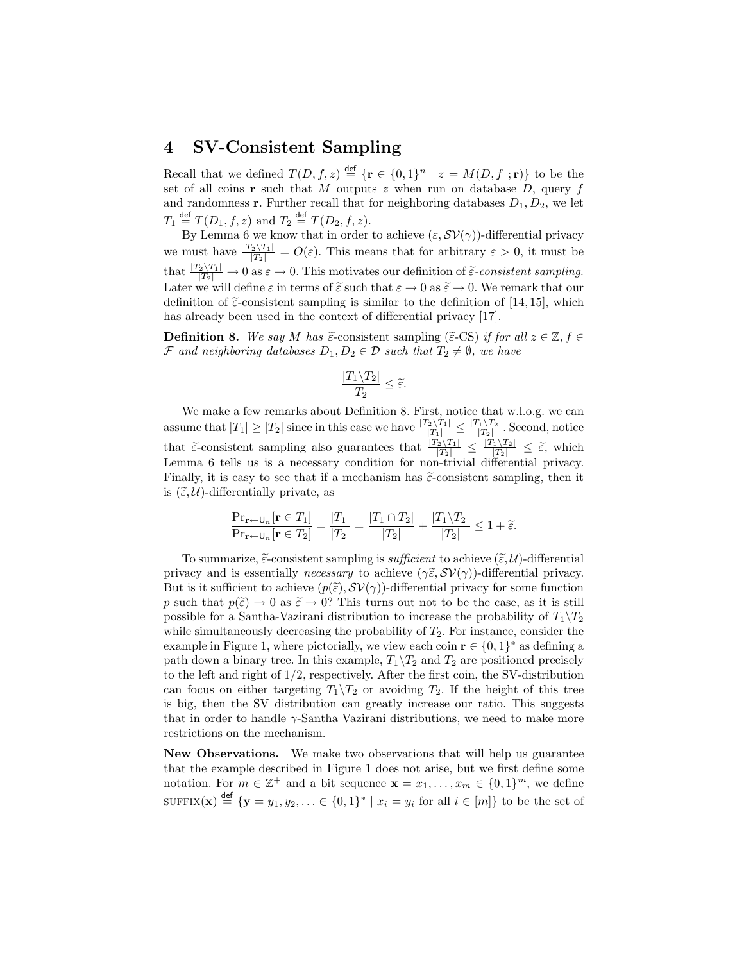## 4 SV-Consistent Sampling

Recall that we defined  $T(D, f, z) \stackrel{\text{def}}{=} {\mathbf{r} \in \{0, 1\}^n \mid z = M(D, f; \mathbf{r})\}$  to be the set of all coins **r** such that M outputs z when run on database  $D$ , query f and randomness **r**. Further recall that for neighboring databases  $D_1, D_2$ , we let  $T_1 \stackrel{\text{def}}{=} T(D_1, f, z)$  and  $T_2 \stackrel{\text{def}}{=} T(D_2, f, z)$ .

By Lemma 6 we know that in order to achieve  $(\varepsilon, \mathcal{SV}(\gamma))$ -differential privacy we must have  $\frac{|T_2\setminus T_1|}{|T_2|} = O(\varepsilon)$ . This means that for arbitrary  $\varepsilon > 0$ , it must be that  $\frac{|T_2 \setminus T_1|}{|T_2|} \to 0$  as  $\varepsilon \to 0$ . This motivates our definition of  $\tilde{\varepsilon}$ -consistent sampling. Later we will define  $\varepsilon$  in terms of  $\tilde{\varepsilon}$  such that  $\varepsilon \to 0$  as  $\tilde{\varepsilon} \to 0$ . We remark that our definition of  $\tilde{\epsilon}$ -consistent sampling is similar to the definition of [14, 15], which has already been used in the context of differential privacy [17].

**Definition 8.** We say M has  $\tilde{\epsilon}$ -consistent sampling ( $\tilde{\epsilon}$ -CS) if for all  $z \in \mathbb{Z}$ ,  $f \in$ F and neighboring databases  $D_1, D_2 \in \mathcal{D}$  such that  $T_2 \neq \emptyset$ , we have

$$
\frac{|T_1\backslash T_2|}{|T_2|}\leq \widetilde{\varepsilon}.
$$

We make a few remarks about Definition 8. First, notice that w.l.o.g. we can assume that  $|T_1| \geq |T_2|$  since in this case we have  $\frac{|T_2\setminus T_1|}{|T_1|} \leq \frac{|T_1\setminus T_2|}{|T_2|}$  $\frac{1}{|T_2|}$ . Second, notice that  $\tilde{\epsilon}$ -consistent sampling also guarantees that  $\frac{|T_2 \setminus T_1|}{|T_2|} \leq \frac{|T_1 \setminus T_2|}{|T_2|} \leq \tilde{\epsilon}$ , which Lemma 6 tells us is a necessary condition for non-trivial differential privacy. Finally, it is easy to see that if a mechanism has  $\tilde{\epsilon}$ -consistent sampling, then it is  $(\tilde{\varepsilon}, \mathcal{U})$ -differentially private, as

$$
\frac{\Pr_{\mathbf{r}\leftarrow\mathbf{U}_n}[\mathbf{r}\in T_1]}{\Pr_{\mathbf{r}\leftarrow\mathbf{U}_n}[\mathbf{r}\in T_2]} = \frac{|T_1|}{|T_2|} = \frac{|T_1\cap T_2|}{|T_2|} + \frac{|T_1\backslash T_2|}{|T_2|} \le 1 + \tilde{\varepsilon}.
$$

To summarize,  $\tilde{\epsilon}$ -consistent sampling is *sufficient* to achieve  $(\tilde{\epsilon}, \mathcal{U})$ -differential privacy and is essentially *necessary* to achieve  $(\gamma \tilde{\epsilon}, \mathcal{SV}(\gamma))$ -differential privacy. But is it sufficient to achieve  $(p(\tilde{\varepsilon}), \mathcal{SV}(\gamma))$ -differential privacy for some function p such that  $p(\tilde{\varepsilon}) \to 0$  as  $\tilde{\varepsilon} \to 0$ ? This turns out not to be the case, as it is still possible for a Santha-Vazirani distribution to increase the probability of  $T_1\Y_2$ while simultaneously decreasing the probability of  $T_2$ . For instance, consider the example in Figure 1, where pictorially, we view each coin  $\mathbf{r} \in \{0,1\}^*$  as defining a path down a binary tree. In this example,  $T_1 \backslash T_2$  and  $T_2$  are positioned precisely to the left and right of 1/2, respectively. After the first coin, the SV-distribution can focus on either targeting  $T_1 \backslash T_2$  or avoiding  $T_2$ . If the height of this tree is big, then the SV distribution can greatly increase our ratio. This suggests that in order to handle  $\gamma$ -Santha Vazirani distributions, we need to make more restrictions on the mechanism.

New Observations. We make two observations that will help us guarantee that the example described in Figure 1 does not arise, but we first define some notation. For  $m \in \mathbb{Z}^+$  and a bit sequence  $\mathbf{x} = x_1, \ldots, x_m \in \{0, 1\}^m$ , we define  $\text{SUFFIX}(\mathbf{x}) \stackrel{\text{def}}{=} \{\mathbf{y} = y_1, y_2, \dots \in \{0, 1\}^* \mid x_i = y_i \text{ for all } i \in [m]\}$  to be the set of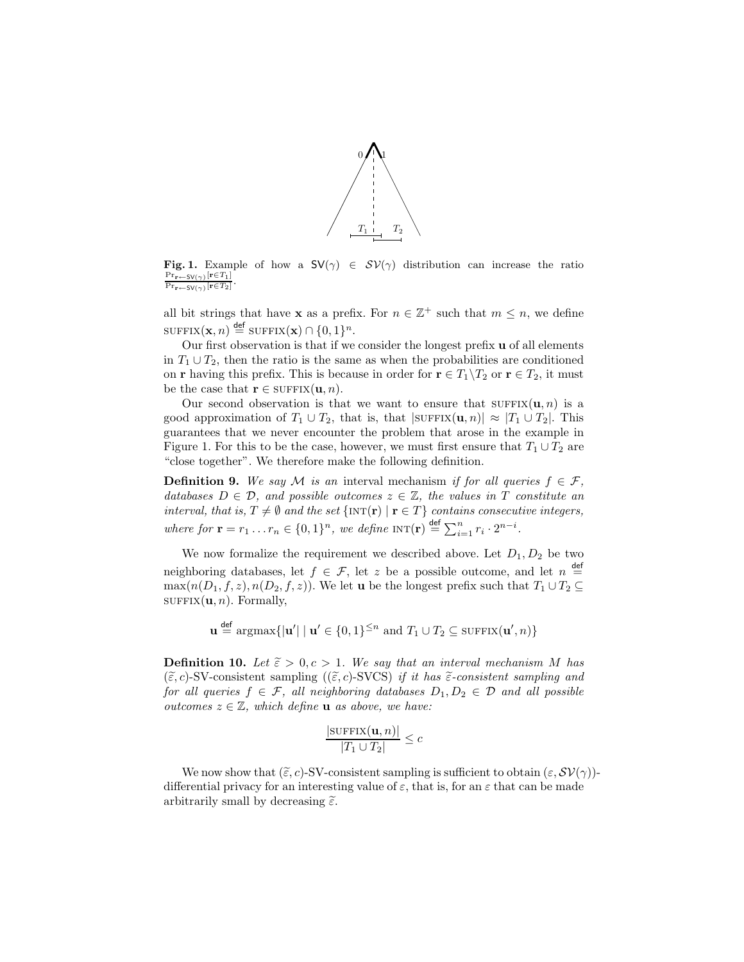

Fig. 1. Example of how a  $SV(\gamma) \in SV(\gamma)$  distribution can increase the ratio  $\Pr_{\mathbf{r}\leftarrow\mathsf{SV}(\gamma)}[\mathbf{r}\in T_1]$  $\Pr_{\mathbf{r}\leftarrow\mathsf{SV}(\gamma)}[\mathbf{r}\in T_2]$ .

all bit strings that have **x** as a prefix. For  $n \in \mathbb{Z}^+$  such that  $m \leq n$ , we define  $\text{SUFFIX}(\mathbf{x}, n) \stackrel{\text{def}}{=} \text{SUFFIX}(\mathbf{x}) \cap \{0, 1\}^n.$ 

Our first observation is that if we consider the longest prefix u of all elements in  $T_1 \cup T_2$ , then the ratio is the same as when the probabilities are conditioned on **r** having this prefix. This is because in order for  $\mathbf{r} \in T_1 \backslash T_2$  or  $\mathbf{r} \in T_2$ , it must be the case that  $\mathbf{r} \in \text{SUFFIX}(\mathbf{u}, n)$ .

Our second observation is that we want to ensure that  $\text{SUFFIX}(\mathbf{u}, n)$  is a good approximation of  $T_1 \cup T_2$ , that is, that  $|\text{SUFFIX}(\mathbf{u}, n)| \approx |T_1 \cup T_2|$ . This guarantees that we never encounter the problem that arose in the example in Figure 1. For this to be the case, however, we must first ensure that  $T_1 \cup T_2$  are "close together". We therefore make the following definition.

**Definition 9.** We say M is an interval mechanism if for all queries  $f \in \mathcal{F}$ , databases  $D \in \mathcal{D}$ , and possible outcomes  $z \in \mathbb{Z}$ , the values in T constitute an interval, that is,  $T \neq \emptyset$  and the set  $\{INT(r) | r \in T \}$  contains consecutive integers, where for  $\mathbf{r} = r_1 \dots r_n \in \{0, 1\}^n$ , we define  $\text{INT}(\mathbf{r}) \stackrel{\text{def}}{=} \sum_{i=1}^n r_i \cdot 2^{n-i}$ .

We now formalize the requirement we described above. Let  $D_1, D_2$  be two neighboring databases, let  $f \in \mathcal{F}$ , let z be a possible outcome, and let  $n \stackrel{\text{def}}{=}$  $\max(n(D_1, f, z), n(D_2, f, z))$ . We let **u** be the longest prefix such that  $T_1 \cup T_2 \subseteq$  $\text{SUFFIX}(\mathbf{u}, n)$ . Formally,

 $\mathbf{u} \stackrel{\text{def}}{=} \operatorname{argmax}\{|\mathbf{u}'| \mid \mathbf{u}' \in \{0,1\}^{\leq n} \text{ and } T_1 \cup T_2 \subseteq \operatorname{SUFFIX}(\mathbf{u}',n)\}\$ 

**Definition 10.** Let  $\tilde{\epsilon} > 0, c > 1$ . We say that an interval mechanism M has  $(\tilde{\varepsilon}, c)$ -SV-consistent sampling  $((\tilde{\varepsilon}, c)$ -SVCS) if it has  $\tilde{\varepsilon}$ -consistent sampling and for all queries  $f \in \mathcal{F}$ , all neighboring databases  $D_1, D_2 \in \mathcal{D}$  and all possible outcomes  $z \in \mathbb{Z}$ , which define **u** as above, we have:

$$
\frac{|\text{SUFFIX}(\mathbf{u}, n)|}{|T_1 \cup T_2|} \leq c
$$

We now show that  $(\tilde{\varepsilon}, c)$ -SV-consistent sampling is sufficient to obtain  $(\varepsilon, \mathcal{SV}(\gamma))$ differential privacy for an interesting value of  $\varepsilon$ , that is, for an  $\varepsilon$  that can be made arbitrarily small by decreasing  $\tilde{\varepsilon}$ .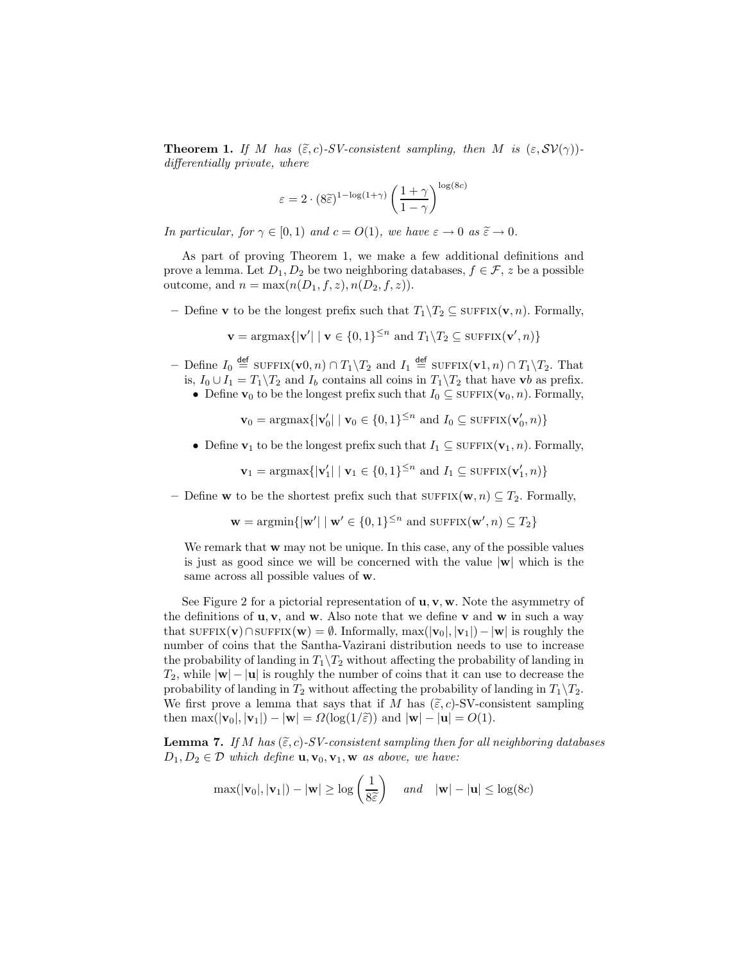**Theorem 1.** If M has  $(\tilde{\epsilon}, c)$ -SV-consistent sampling, then M is  $(\epsilon, \mathcal{SV}(\gamma))$ differentially private, where

$$
\varepsilon = 2 \cdot (8\widehat{\varepsilon})^{1 - \log(1+\gamma)} \left(\frac{1+\gamma}{1-\gamma}\right)^{\log(8c)}
$$

In particular, for  $\gamma \in [0, 1)$  and  $c = O(1)$ , we have  $\varepsilon \to 0$  as  $\tilde{\varepsilon} \to 0$ .

As part of proving Theorem 1, we make a few additional definitions and prove a lemma. Let  $D_1, D_2$  be two neighboring databases,  $f \in \mathcal{F}$ , z be a possible outcome, and  $n = \max(n(D_1, f, z), n(D_2, f, z)).$ 

– Define **v** to be the longest prefix such that  $T_1 \backslash T_2 \subseteq \text{SUFFIX}(\mathbf{v}, n)$ . Formally,

$$
\mathbf{v} = \operatorname{argmax} \{ |\mathbf{v}'| \mid \mathbf{v} \in \{0, 1\}^{\leq n} \text{ and } T_1 \backslash T_2 \subseteq \operatorname{SUFFIX}(\mathbf{v}', n) \}
$$

- Define  $I_0$  <sup>def</sup> suffix(v0, n) ∩  $T_1 \setminus T_2$  and  $I_1$  <sup>def</sup> suffix(v1, n) ∩  $T_1 \setminus T_2$ . That is,  $I_0 \cup I_1 = T_1 \backslash T_2$  and  $I_b$  contains all coins in  $T_1 \backslash T_2$  that have vb as prefix.
	- Define  $\mathbf{v}_0$  to be the longest prefix such that  $I_0 \subseteq \text{SUFFIX}(\mathbf{v}_0, n)$ . Formally,

$$
\mathbf{v}_0 = \operatorname{argmax} \{ |\mathbf{v}'_0| \mid \mathbf{v}_0 \in \{0, 1\}^{\leq n} \text{ and } I_0 \subseteq \operatorname{SUFFIX}(\mathbf{v}'_0, n) \}
$$

• Define  $\mathbf{v}_1$  to be the longest prefix such that  $I_1 \subseteq \text{SUFFIX}(\mathbf{v}_1, n)$ . Formally,

$$
\mathbf{v}_1 = \operatorname{argmax} \{ |\mathbf{v}_1'| \mid \mathbf{v}_1 \in \{0, 1\}^{\leq n} \text{ and } I_1 \subseteq \operatorname{SUFFIX}(\mathbf{v}_1', n) \}
$$

– Define **w** to be the shortest prefix such that  $\text{SUFFIX}(\mathbf{w}, n) \subseteq T_2$ . Formally,

$$
\mathbf{w} = \operatorname{argmin} \{ |\mathbf{w}'| \mid \mathbf{w}' \in \{0, 1\}^{\leq n} \text{ and } \operatorname{SUFFIX}(\mathbf{w}', n) \subseteq T_2 \}
$$

We remark that **w** may not be unique. In this case, any of the possible values is just as good since we will be concerned with the value  $|\mathbf{w}|$  which is the same across all possible values of w.

See Figure 2 for a pictorial representation of  $\mathbf{u}, \mathbf{v}, \mathbf{w}$ . Note the asymmetry of the definitions of  $\mathbf{u}, \mathbf{v}$ , and w. Also note that we define v and w in such a way that sufflux(v)∩sufflux(w) =  $\emptyset$ . Informally, max(|v<sub>0</sub>|, |v<sub>1</sub>|) – |w| is roughly the number of coins that the Santha-Vazirani distribution needs to use to increase the probability of landing in  $T_1 \backslash T_2$  without affecting the probability of landing in  $T_2$ , while  $|\mathbf{w}| - |\mathbf{u}|$  is roughly the number of coins that it can use to decrease the probability of landing in  $T_2$  without affecting the probability of landing in  $T_1 \backslash T_2$ . We first prove a lemma that says that if M has  $(\tilde{\varepsilon}, c)$ -SV-consistent sampling then max $(|\mathbf{v}_0|, |\mathbf{v}_1|) - |\mathbf{w}| = \Omega(\log(1/\tilde{\varepsilon}))$  and  $|\mathbf{w}| - |\mathbf{u}| = O(1)$ .

**Lemma 7.** If M has  $(\tilde{\epsilon}, c)$ -SV-consistent sampling then for all neighboring databases  $D_1, D_2 \in \mathcal{D}$  which define  $\mathbf{u}, \mathbf{v}_0, \mathbf{v}_1, \mathbf{w}$  as above, we have:

$$
\max(|\mathbf{v}_0|, |\mathbf{v}_1|) - |\mathbf{w}| \ge \log\left(\frac{1}{8\widetilde{\varepsilon}}\right) \quad \text{and} \quad |\mathbf{w}| - |\mathbf{u}| \le \log(8c)
$$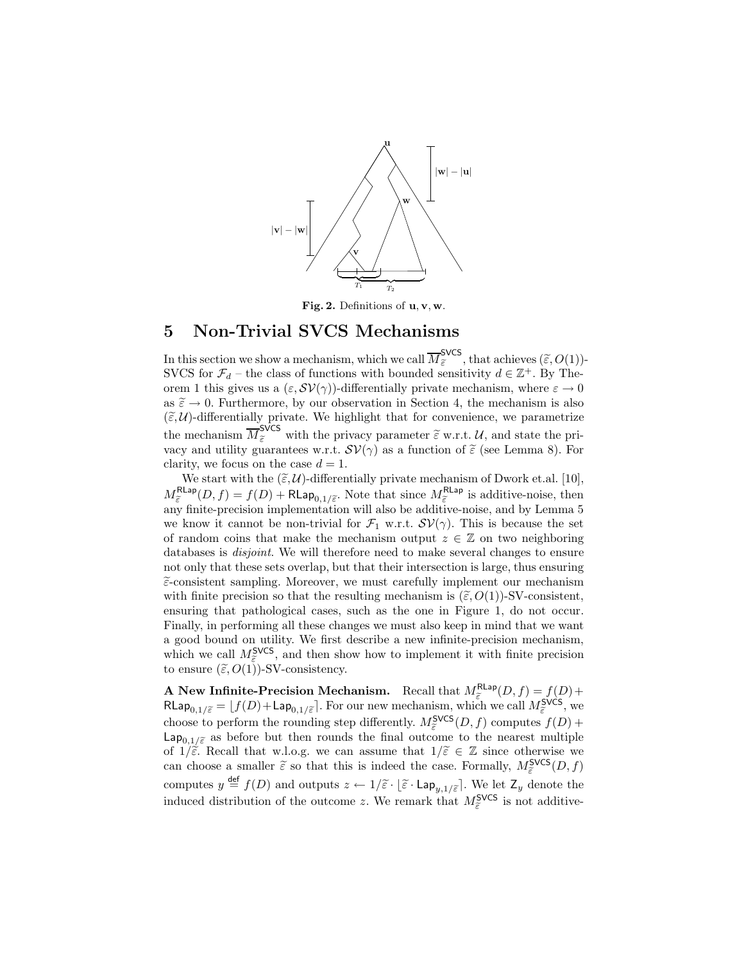

Fig. 2. Definitions of u, v, w.

### 5 Non-Trivial SVCS Mechanisms

In this section we show a mechanism, which we call  $\overline{M}_{\tilde{\varepsilon}}^{\text{SVCS}}$ , that achieves  $(\tilde{\varepsilon}, O(1))$ -SVCS for  $\mathcal{F}_d$  – the class of functions with bounded sensitivity  $d \in \mathbb{Z}^+$ . By Theorem 1 this gives us a  $(\varepsilon, \mathcal{SV}(\gamma))$ -differentially private mechanism, where  $\varepsilon \to 0$ as  $\tilde{\varepsilon} \to 0$ . Furthermore, by our observation in Section 4, the mechanism is also  $(\tilde{\varepsilon}, \mathcal{U})$ -differentially private. We highlight that for convenience, we parametrize the mechanism  $\overline{M}_{\tilde{\varepsilon}}^{\text{SVCS}}$  with the privacy parameter  $\tilde{\varepsilon}$  w.r.t.  $\mathcal{U}$ , and state the privacy and utility guarantees w.r.t.  $\mathcal{SV}(\gamma)$  as a function of  $\tilde{\varepsilon}$  (see Lemma 8). For clarity, we focus on the case  $d = 1$ .

We start with the  $(\tilde{\varepsilon}, \mathcal{U})$ -differentially private mechanism of Dwork et.al. [10],  $M_{\tilde{\varepsilon}}^{\text{RLap}}(D, f) = f(D) + \text{RLap}_{0,1/\tilde{\varepsilon}}$ . Note that since  $M_{\tilde{\varepsilon}}^{\text{RLap}}$  is additive-noise, then any finite-precision implementation will also be additive-noise, and by Lemma 5 we know it cannot be non-trivial for  $\mathcal{F}_1$  w.r.t.  $\mathcal{SV}(\gamma)$ . This is because the set of random coins that make the mechanism output  $z \in \mathbb{Z}$  on two neighboring databases is *disjoint*. We will therefore need to make several changes to ensure not only that these sets overlap, but that their intersection is large, thus ensuring  $\tilde{\epsilon}$ -consistent sampling. Moreover, we must carefully implement our mechanism with finite precision so that the resulting mechanism is  $(\tilde{\varepsilon}, O(1))$ -SV-consistent, ensuring that pathological cases, such as the one in Figure 1, do not occur. Finally, in performing all these changes we must also keep in mind that we want a good bound on utility. We first describe a new infinite-precision mechanism, which we call  $M_{\tilde{\epsilon}}^{\text{SVCS}}$ , and then show how to implement it with finite precision to ensure  $(\tilde{\varepsilon}, O(1))$ -SV-consistency.

A New Infinite-Precision Mechanism. Recall that  $M_{\tilde{\varepsilon}}^{Rlap}(D, f) = f(D) +$  $\mathsf{RLap}_{0,1/\widetilde{\varepsilon}} = \lfloor f(D) + \mathsf{Lap}_{0,1/\widetilde{\varepsilon}} \rceil$ . For our new mechanism, which we call  $M_{\widetilde{\varepsilon}}^{\mathsf{SVCS}},$  we choose to perform the rounding step differently.  $M_{\tilde{\epsilon}}^{\text{SVCS}}(D, f)$  computes  $f(D)$  +  $\mathsf{Lap}_{0,1/\tilde{\varepsilon}}$  as before but then rounds the final outcome to the nearest multiple of  $1/\tilde{\varepsilon}$ . Recall that w.l.o.g. we can assume that  $1/\tilde{\varepsilon} \in \mathbb{Z}$  since otherwise we can choose a smaller  $\tilde{\varepsilon}$  so that this is indeed the case. Formally,  $M_{\tilde{\varepsilon}}^{\text{SVCS}}(D, f)$ computes  $y \stackrel{\text{def}}{=} f(D)$  and outputs  $z \leftarrow 1/\widetilde{\varepsilon} \cdot \lfloor \widetilde{\varepsilon} \cdot \text{Lap}_{y,1/\widetilde{\varepsilon}} \rfloor$ . We let  $Z_y$  denote the induced distribution of the outcome z. We remark that  $M_{\tilde{\varepsilon}}^{\text{SVCS}}$  is not additive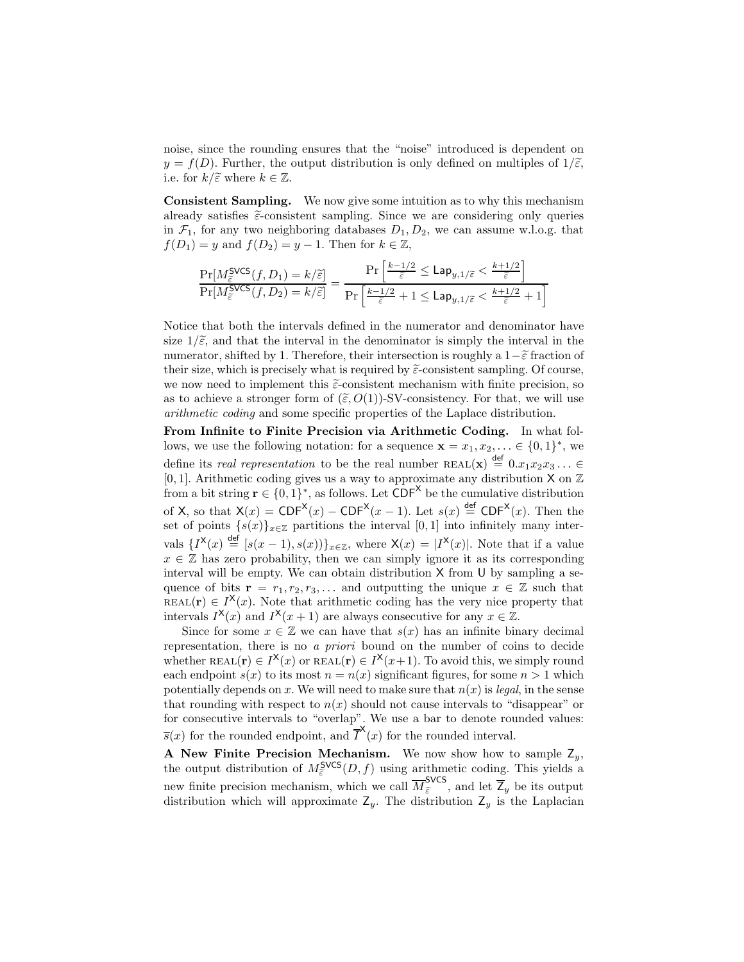noise, since the rounding ensures that the "noise" introduced is dependent on  $y = f(D)$ . Further, the output distribution is only defined on multiples of  $1/\tilde{\varepsilon}$ , i.e. for  $k/\tilde{\varepsilon}$  where  $k \in \mathbb{Z}$ .

Consistent Sampling. We now give some intuition as to why this mechanism already satisfies  $\tilde{\varepsilon}$ -consistent sampling. Since we are considering only queries in  $\mathcal{F}_1$ , for any two neighboring databases  $D_1, D_2$ , we can assume w.l.o.g. that  $f(D_1) = y$  and  $f(D_2) = y - 1$ . Then for  $k \in \mathbb{Z}$ ,

$$
\frac{\Pr[M_{\widetilde{\varepsilon}}^{\mathsf{SVCS}}(f,D_1)=k/\widetilde{\varepsilon}]}{\Pr[M_{\widetilde{\varepsilon}}^{\mathsf{SVCS}}(f,D_2)=k/\widetilde{\varepsilon}]}=\frac{\Pr\left[\frac{k-1/2}{\widetilde{\varepsilon}}\leq \mathsf{Lap}_{y,1/\widetilde{\varepsilon}}<\frac{k+1/2}{\widetilde{\varepsilon}}\right]}{\Pr\left[\frac{k-1/2}{\widetilde{\varepsilon}}+1\leq \mathsf{Lap}_{y,1/\widetilde{\varepsilon}}<\frac{k+1/2}{\widetilde{\varepsilon}}+1\right]}
$$

Notice that both the intervals defined in the numerator and denominator have size  $1/\tilde{\varepsilon}$ , and that the interval in the denominator is simply the interval in the numerator, shifted by 1. Therefore, their intersection is roughly a  $1-\tilde{\varepsilon}$  fraction of their size, which is precisely what is required by  $\tilde{\epsilon}$ -consistent sampling. Of course, we now need to implement this  $\tilde{\varepsilon}$ -consistent mechanism with finite precision, so as to achieve a stronger form of  $(\tilde{\varepsilon}, O(1))$ -SV-consistency. For that, we will use arithmetic coding and some specific properties of the Laplace distribution.

From Infinite to Finite Precision via Arithmetic Coding. In what follows, we use the following notation: for a sequence  $\mathbf{x} = x_1, x_2, \ldots \in \{0, 1\}^*$ , we define its *real representation* to be the real number  $REAL(\mathbf{x}) \stackrel{\text{def}}{=} 0.x_1x_2x_3... \in$ [0, 1]. Arithmetic coding gives us a way to approximate any distribution  $X$  on  $\mathbb Z$ from a bit string  $\mathbf{r} \in \{0,1\}^*$ , as follows. Let  $CDF^{\times}$  be the cumulative distribution of X, so that  $X(x) = CDF^{X}(x) - CDF^{X}(x-1)$ . Let  $s(x) \stackrel{\text{def}}{=} CDF^{X}(x)$ . Then the set of points  $\{s(x)\}_{x\in\mathbb{Z}}$  partitions the interval [0, 1] into infinitely many intervals  $\{I^{\mathsf{X}}(x) \stackrel{\text{def}}{=} [s(x-1), s(x))]_{x \in \mathbb{Z}}$ , where  $\mathsf{X}(x) = |I^{\mathsf{X}}(x)|$ . Note that if a value  $x \in \mathbb{Z}$  has zero probability, then we can simply ignore it as its corresponding interval will be empty. We can obtain distribution X from U by sampling a sequence of bits  $\mathbf{r} = r_1, r_2, r_3, \dots$  and outputting the unique  $x \in \mathbb{Z}$  such that REAL(**r**)  $\in I^{\times}(x)$ . Note that arithmetic coding has the very nice property that intervals  $I^{\mathsf{X}}(x)$  and  $I^{\mathsf{X}}(x+1)$  are always consecutive for any  $x \in \mathbb{Z}$ .

Since for some  $x \in \mathbb{Z}$  we can have that  $s(x)$  has an infinite binary decimal representation, there is no a priori bound on the number of coins to decide whether REAL(**r**)  $\in I^{\mathsf{X}}(x)$  or REAL(**r**)  $\in I^{\mathsf{X}}(x+1)$ . To avoid this, we simply round each endpoint  $s(x)$  to its most  $n = n(x)$  significant figures, for some  $n > 1$  which potentially depends on x. We will need to make sure that  $n(x)$  is *legal*, in the sense that rounding with respect to  $n(x)$  should not cause intervals to "disappear" or for consecutive intervals to "overlap". We use a bar to denote rounded values:  $\overline{s}(x)$  for the rounded endpoint, and  $\overline{I}^{\mathsf{X}}(x)$  for the rounded interval.

A New Finite Precision Mechanism. We now show how to sample  $Z_y$ , the output distribution of  $M_{\tilde{\varepsilon}}^{SVCS}(D, f)$  using arithmetic coding. This yields a new finite precision mechanism, which we call  $\overline{M}_{\tilde{\varepsilon}}^{\text{SVCS}}$ , and let  $\overline{Z}_y$  be its output distribution which will approximate  $Z_y$ . The distribution  $Z_y$  is the Laplacian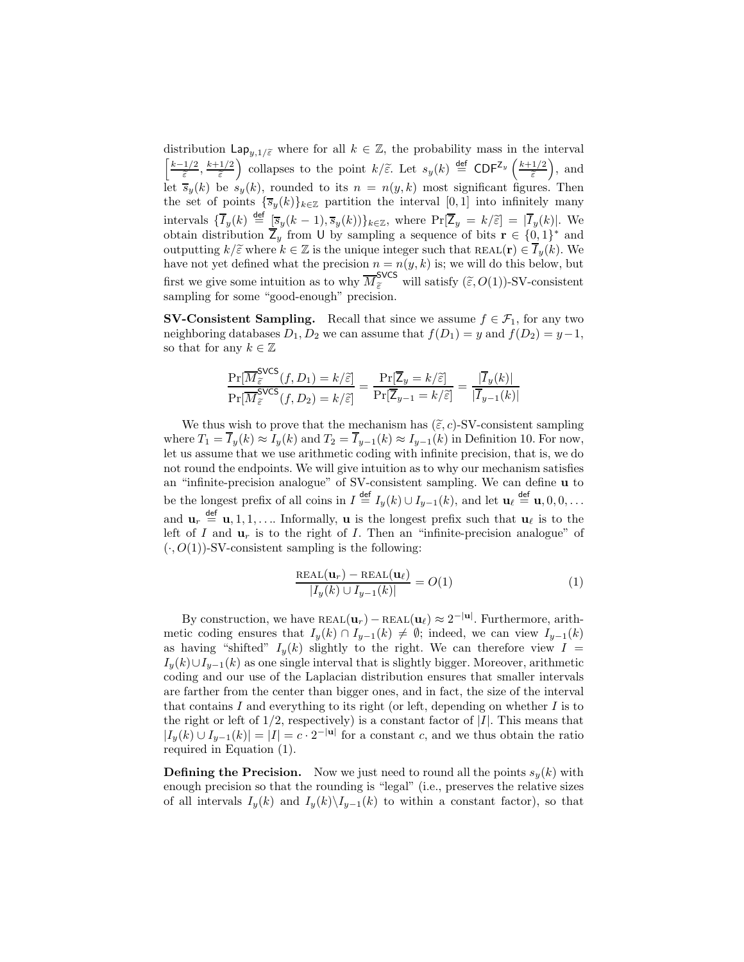distribution  $\text{Lap}_{u,1/\tilde{\varepsilon}}$  where for all  $k \in \mathbb{Z}$ , the probability mass in the interval  $\left[\frac{k-1/2}{\widetilde{\varepsilon}},\frac{k+1/2}{\widetilde{\varepsilon}}\right]$ collapses to the point  $k/\widetilde{\varepsilon}$ . Let  $s_y(k) \stackrel{\text{def}}{=} \text{CDF}^{\mathsf{Z}_y}\left(\frac{k+1/2}{\widetilde{\varepsilon}}\right)$  $\big)$ , and let  $\overline{s}_y(k)$  be  $s_y(k)$ , rounded to its  $n = n(y, k)$  most significant figures. Then the set of points  $\{\overline{s}_y(k)\}_{k\in\mathbb{Z}}$  partition the interval  $[0,1]$  into infinitely many intervals  $\{\overline{I}_y(k) \stackrel{\text{def}}{=} \frac{[\overline{s}_y(k-1), \overline{s}_y(k)]\}_{k \in \mathbb{Z}}$ , where  $\Pr[\overline{Z}_y = k/\widetilde{\epsilon}] = |\overline{I}_y(k)|$ . We obtain distribution  $\overline{Z}_y$  from U by sampling a sequence of bits  $\mathbf{r} \in \{0, 1\}^*$  and outputting  $k/\tilde{\varepsilon}$  where  $k \in \mathbb{Z}$  is the unique integer such that REAL(**r**)  $\in \overline{I}_y(k)$ . We have not yet defined what the precision  $n = n(y, k)$  is; we will do this below, but first we give some intuition as to why  $\overline{M}_{\tilde{\varepsilon}}^{\text{SVCS}}$  will satisfy  $(\tilde{\varepsilon}, O(1))$ -SV-consistent sampling for some "good-enough" precision.

**SV-Consistent Sampling.** Recall that since we assume  $f \in \mathcal{F}_1$ , for any two neighboring databases  $D_1, D_2$  we can assume that  $f(D_1) = y$  and  $f(D_2) = y-1$ , so that for any  $k \in \mathbb{Z}$ 

$$
\frac{\Pr[\overline{M}_{\widetilde{\varepsilon}}^{\text{SVCS}}(f, D_1) = k/\widetilde{\varepsilon}]}{\Pr[\overline{M}_{\widetilde{\varepsilon}}^{\text{SVCS}}(f, D_2) = k/\widetilde{\varepsilon}]} = \frac{\Pr[\overline{Z}_y = k/\widetilde{\varepsilon}]}{\Pr[\overline{Z}_{y-1} = k/\widetilde{\varepsilon}]} = \frac{|\overline{I}_y(k)|}{|\overline{I}_{y-1}(k)|}
$$

We thus wish to prove that the mechanism has  $(\tilde{\varepsilon}, c)$ -SV-consistent sampling where  $T_1 = \overline{I}_y(k) \approx I_y(k)$  and  $T_2 = \overline{I}_{y-1}(k) \approx I_{y-1}(k)$  in Definition 10. For now, let us assume that we use arithmetic coding with infinite precision, that is, we do not round the endpoints. We will give intuition as to why our mechanism satisfies an "infinite-precision analogue" of SV-consistent sampling. We can define u to be the longest prefix of all coins in  $I \stackrel{\text{def}}{=} I_y(k) \cup I_{y-1}(k)$ , and let  $\mathbf{u}_{\ell} \stackrel{\text{def}}{=} \mathbf{u}, 0, 0, \ldots$ and  $\mathbf{u}_r \stackrel{\text{def}}{=} \mathbf{u}, 1, 1, \dots$  Informally, **u** is the longest prefix such that  $\mathbf{u}_\ell$  is to the left of I and  $\mathbf{u}_r$  is to the right of I. Then an "infinite-precision analogue" of  $(\cdot, O(1))$ -SV-consistent sampling is the following:

$$
\frac{\text{REAL}(\mathbf{u}_r) - \text{REAL}(\mathbf{u}_\ell)}{|I_y(k) \cup I_{y-1}(k)|} = O(1) \tag{1}
$$

By construction, we have  $REAL(\mathbf{u}_r) - REAL(\mathbf{u}_\ell) \approx 2^{-|\mathbf{u}|}$ . Furthermore, arithmetic coding ensures that  $I_y(k) \cap I_{y-1}(k) \neq \emptyset$ ; indeed, we can view  $I_{y-1}(k)$ as having "shifted"  $I_y(k)$  slightly to the right. We can therefore view  $I =$  $I_y(k) \cup I_{y-1}(k)$  as one single interval that is slightly bigger. Moreover, arithmetic coding and our use of the Laplacian distribution ensures that smaller intervals are farther from the center than bigger ones, and in fact, the size of the interval that contains  $I$  and everything to its right (or left, depending on whether  $I$  is to the right or left of  $1/2$ , respectively) is a constant factor of  $|I|$ . This means that  $|I_y(k) \cup I_{y-1}(k)| = |I| = c \cdot 2^{-|\mathbf{u}|}$  for a constant c, and we thus obtain the ratio required in Equation (1).

**Defining the Precision.** Now we just need to round all the points  $s_y(k)$  with enough precision so that the rounding is "legal" (i.e., preserves the relative sizes of all intervals  $I_y(k)$  and  $I_y(k)\backslash I_{y-1}(k)$  to within a constant factor), so that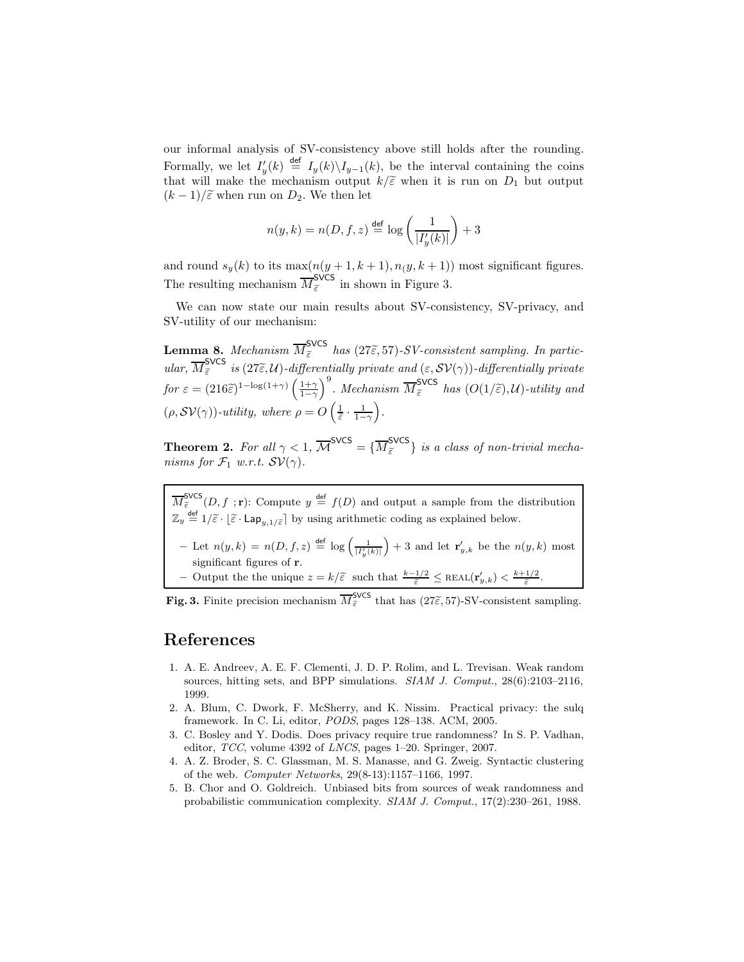our informal analysis of SV-consistency above still holds after the rounding. Formally, we let  $I'_y(k) \stackrel{\text{def}}{=} I_y(k) \setminus I_{y-1}(k)$ , be the interval containing the coins that will make the mechanism output  $k/\tilde{\varepsilon}$  when it is run on  $D_1$  but output  $(k-1)/\tilde{\varepsilon}$  when run on  $D_2$ . We then let

$$
n(y,k)=n(D,f,z)\stackrel{\text{def}}{=}\log\left(\frac{1}{|I'_y(k)|}\right)+3
$$

and round  $s_y(k)$  to its  $\max(n(y + 1, k + 1), n(y, k + 1))$  most significant figures. The resulting mechanism  $\overline{M}_{\tilde{\varepsilon}}^{\text{SVCS}}$  in shown in Figure 3.

We can now state our main results about SV-consistency, SV-privacy, and SV-utility of our mechanism:

**Lemma 8.** Mechanism  $\overline{M}_{\tilde{\varepsilon}}^{\text{SVCS}}$  has  $(27\tilde{\varepsilon}, 57)$ -SV-consistent sampling. In partic-<br>SVCS ular,  $\overline{M}_{\tilde{\varepsilon}}^{\text{SVCS}}$  is  $(27\tilde{\varepsilon}, \mathcal{U})$ -differentially private and  $(\varepsilon, \mathcal{SV}(\gamma))$ -differentially private for  $\varepsilon = (216\tilde{\varepsilon})^{1-\log(1+\gamma)} \left(\frac{1+\gamma}{1-\gamma}\right)$  $\int^9$ . Mechanism  $\overline{M}_{\widetilde{\varepsilon}}^{\text{SVCS}}$  has  $(O(1/\widetilde{\varepsilon}), \mathcal{U})$ -utility and  $(\rho, \mathcal{SV}(\gamma))$ -utility, where  $\rho = O\left(\frac{1}{\tilde{\epsilon}} \cdot \frac{1}{1-\gamma}\right)$ .

**Theorem 2.** For all  $\gamma < 1$ ,  $\overline{\mathcal{M}}^{\text{SVCS}} = {\overline{\mathcal{M}}^{\text{SVCS}}_{\widetilde{\varepsilon}}}$  is a class of non-trivial mechanisms for  $\mathcal{F}_1$  w.r.t.  $\mathcal{SV}(\gamma)$ .

 $\overline{M}_{\tilde{\epsilon}}^{\text{SVCS}}(D, f; \mathbf{r})$ : Compute  $y \stackrel{\text{def}}{=} f(D)$  and output a sample from the distribution  $\mathbb{Z}_y \stackrel{\text{def}}{=} 1/\widetilde{\varepsilon} \cdot \lfloor \widetilde{\varepsilon} \cdot \text{Lap}_{y,1/\widetilde{\varepsilon}} \rfloor$  by using arithmetic coding as explained below. - Let  $n(y,k) = n(D, f, z) \stackrel{\text{def}}{=} \log \left( \frac{1}{|I'_y(k)|} \right)$  $+3$  and let  $\mathbf{r}'_{y,k}$  be the  $n(y,k)$  most

- significant figures of r.
- Output the the unique  $z = k/\tilde{\varepsilon}$  such that  $\frac{k-1/2}{\tilde{\varepsilon}}$  ≤ REAL(**r**'<sub>y,k</sub>) <  $\frac{k+1/2}{\tilde{\varepsilon}}$ .

**Fig. 3.** Finite precision mechanism  $\overline{M}_{\tilde{\varepsilon}}^{\text{SVCS}}$  that has  $(27\tilde{\varepsilon}, 57)$ -SV-consistent sampling.

### References

- 1. A. E. Andreev, A. E. F. Clementi, J. D. P. Rolim, and L. Trevisan. Weak random sources, hitting sets, and BPP simulations. SIAM J. Comput., 28(6):2103–2116, 1999.
- 2. A. Blum, C. Dwork, F. McSherry, and K. Nissim. Practical privacy: the sulq framework. In C. Li, editor, PODS, pages 128–138. ACM, 2005.
- 3. C. Bosley and Y. Dodis. Does privacy require true randomness? In S. P. Vadhan, editor, TCC, volume 4392 of LNCS, pages 1–20. Springer, 2007.
- 4. A. Z. Broder, S. C. Glassman, M. S. Manasse, and G. Zweig. Syntactic clustering of the web. Computer Networks, 29(8-13):1157–1166, 1997.
- 5. B. Chor and O. Goldreich. Unbiased bits from sources of weak randomness and probabilistic communication complexity. SIAM J. Comput., 17(2):230–261, 1988.